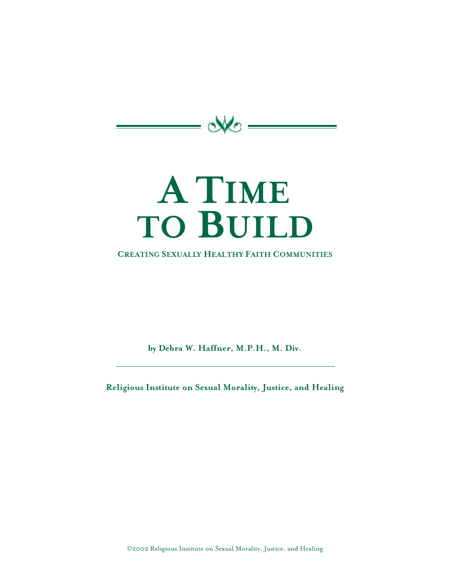

# **A TIME TO BUILD**

**CREATING SEXUALLY HEALTHY FAITH COMMUNITIES**

**by Debra W. Haffner, M.P.H., M. Div.**

**Religious Institute on Sexual Morality, Justice, and Healing**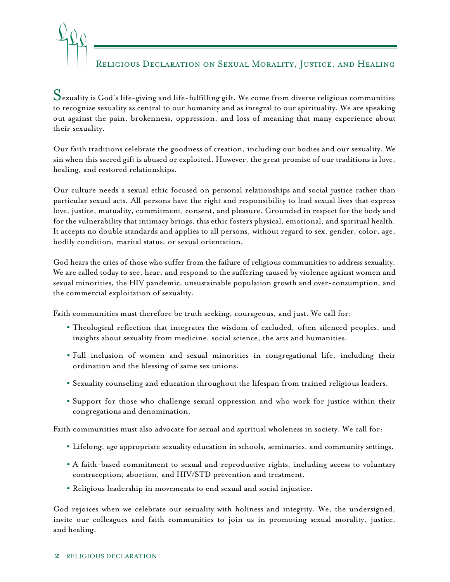

# Religious Declaration on Sexual Morality, Justice, and Healing

Sexuality is God's life-giving and life-fulfilling gift. We come from diverse religious communities to recognize sexuality as central to our humanity and as integral to our spirituality. We are speaking out against the pain, brokenness, oppression, and loss of meaning that many experience about their sexuality.

Our faith traditions celebrate the goodness of creation, including our bodies and our sexuality. We sin when this sacred gift is abused or exploited. However, the great promise of our traditions is love, healing, and restored relationships.

Our culture needs a sexual ethic focused on personal relationships and social justice rather than particular sexual acts. All persons have the right and responsibility to lead sexual lives that express love, justice, mutuality, commitment, consent, and pleasure. Grounded in respect for the body and for the vulnerability that intimacy brings, this ethic fosters physical, emotional, and spiritual health. It accepts no double standards and applies to all persons, without regard to sex, gender, color, age, bodily condition, marital status, or sexual orientation.

God hears the cries of those who suffer from the failure of religious communities to address sexuality. We are called today to see, hear, and respond to the suffering caused by violence against women and sexual minorities, the HIV pandemic, unsustainable population growth and over-consumption, and the commercial exploitation of sexuality.

Faith communities must therefore be truth seeking, courageous, and just. We call for:

- Theological reflection that integrates the wisdom of excluded, often silenced peoples, and insights about sexuality from medicine, social science, the arts and humanities.
- Full inclusion of women and sexual minorities in congregational life, including their ordination and the blessing of same sex unions.
- Sexuality counseling and education throughout the lifespan from trained religious leaders.
- Support for those who challenge sexual oppression and who work for justice within their congregations and denomination.

Faith communities must also advocate for sexual and spiritual wholeness in society. We call for:

- Lifelong, age appropriate sexuality education in schools, seminaries, and community settings.
- A faith-based commitment to sexual and reproductive rights, including access to voluntary contraception, abortion, and HIV/STD prevention and treatment.
- Religious leadership in movements to end sexual and social injustice.

God rejoices when we celebrate our sexuality with holiness and integrity. We, the undersigned, invite our colleagues and faith communities to join us in promoting sexual morality, justice, and healing.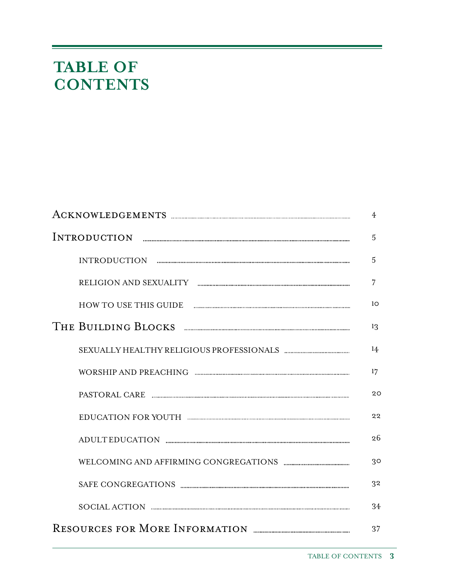# **TABLE OF CONTENTS**

|                                                                                                                                                                                                                                | $\overline{4}$ |
|--------------------------------------------------------------------------------------------------------------------------------------------------------------------------------------------------------------------------------|----------------|
| INTRODUCTION EXECUTION                                                                                                                                                                                                         | 5              |
|                                                                                                                                                                                                                                | 5              |
|                                                                                                                                                                                                                                | $\overline{7}$ |
| HOW TO USE THIS GUIDE <b>And COMPANY</b> SET A LIGATION OF THIS GUIDE                                                                                                                                                          | 10             |
|                                                                                                                                                                                                                                | 13             |
| SEXUALLY HEALTHY RELIGIOUS PROFESSIONALS Entertainment control of the SEXUALLY HEALTHY RELIGIOUS PROFESSIONALS                                                                                                                 | 14             |
|                                                                                                                                                                                                                                | 17             |
| PASTORAL CARE ELECTRICITY AND THE RESIDENCE OF A SERIES AND THE RESIDENCE OF A SERIES OF A SERIES OF A SERIES OF A SERIES OF A SERIES OF A SERIES OF A SERIES OF A SERIES OF A SERIES OF A SERIES OF A SERIES OF A SERIES OF A | 20             |
| EDUCATION FOR YOUTH ENTITLED TO A RESERVE THE RESERVE TO A RESERVE THE RESERVE TO A RESERVE THE RESERVE THAT HAD A RESERVE THAT A RESERVE THAT A RESERVE THAT A RESERVE THAT A RESERVE THAT A RESERVE THAT A RESERVE THAT A RE | 22             |
|                                                                                                                                                                                                                                | 26             |
|                                                                                                                                                                                                                                | 3 <sup>o</sup> |
|                                                                                                                                                                                                                                | 32             |
| SOCIAL ACTION EXECUTION CONTROL ACTION                                                                                                                                                                                         | 34             |
|                                                                                                                                                                                                                                | 37             |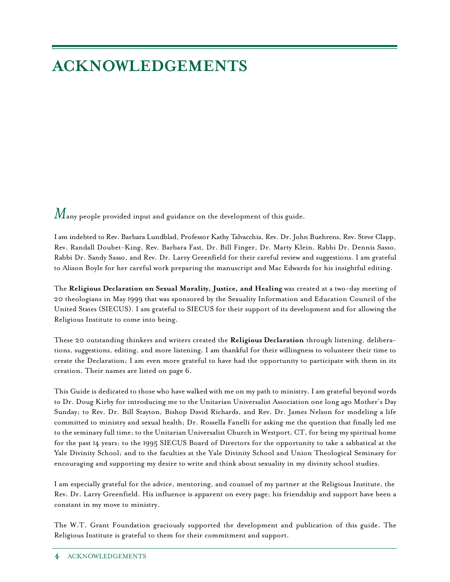# **ACKNOWLEDGEMENTS**

 $M_{\rm any}$  people provided input and guidance on the development of this guide.

I am indebted to Rev. Barbara Lundblad, Professor Kathy Talvacchia, Rev. Dr. John Buehrens, Rev. Steve Clapp, Rev. Randall Doubet-King, Rev. Barbara Fast, Dr. Bill Finger, Dr. Marty Klein, Rabbi Dr. Dennis Sasso, Rabbi Dr. Sandy Sasso, and Rev. Dr. Larry Greenfield for their careful review and suggestions. I am grateful to Alison Boyle for her careful work preparing the manuscript and Mac Edwards for his insightful editing.

The **Religious Declaration on Sexual Morality, Justice, and Healing** was created at a two-day meeting of 20 theologians in May l999 that was sponsored by the Sexuality Information and Education Council of the United States (SIECUS). I am grateful to SIECUS for their support of its development and for allowing the Religious Institute to come into being.

These 20 outstanding thinkers and writers created the **Religious Declaration** through listening, deliberations, suggestions, editing, and more listening. I am thankful for their willingness to volunteer their time to create the Declaration; I am even more grateful to have had the opportunity to participate with them in its creation. Their names are listed on page 6.

This Guide is dedicated to those who have walked with me on my path to ministry. I am grateful beyond words to Dr. Doug Kirby for introducing me to the Unitarian Universalist Association one long ago Mother's Day Sunday; to Rev. Dr. Bill Stayton, Bishop David Richards, and Rev. Dr. James Nelson for modeling a life committed to ministry and sexual health; Dr. Rossella Fanelli for asking me the question that finally led me to the seminary full time; to the Unitarian Universalist Church in Westport, CT, for being my spiritual home for the past l4 years; to the l995 SIECUS Board of Directors for the opportunity to take a sabbatical at the Yale Divinity School; and to the faculties at the Yale Divinity School and Union Theological Seminary for encouraging and supporting my desire to write and think about sexuality in my divinity school studies.

I am especially grateful for the advice, mentoring, and counsel of my partner at the Religious Institute, the Rev. Dr. Larry Greenfield. His influence is apparent on every page; his friendship and support have been a constant in my move to ministry.

The W.T. Grant Foundation graciously supported the development and publication of this guide. The Religious Institute is grateful to them for their commitment and support.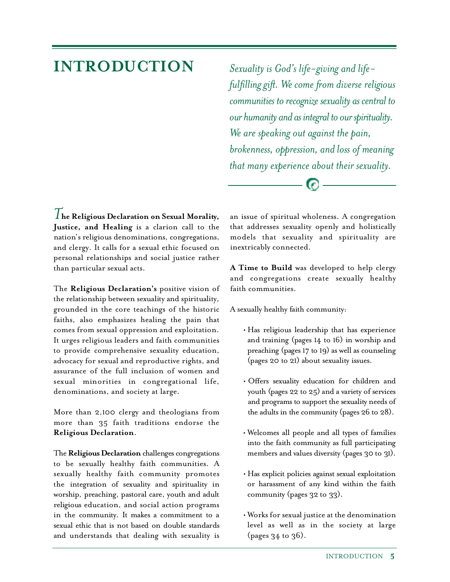# **INTRODUCTION** *Sexuality is God's life-giving and life-*

*fulfilling gift. We come from diverse religious communities to recognize sexuality as central to our humanity and as integral to our spirituality. We are speaking out against the pain, brokenness, oppression, and loss of meaning that many experience about their sexuality.*

*T***he Religious Declaration on Sexual Morality, Justice, and Healing** is a clarion call to the nation's religious denominations, congregations, and clergy. It calls for a sexual ethic focused on personal relationships and social justice rather than particular sexual acts.

The **Religious Declaration's** positive vision of the relationship between sexuality and spirituality, grounded in the core teachings of the historic faiths, also emphasizes healing the pain that comes from sexual oppression and exploitation. It urges religious leaders and faith communities to provide comprehensive sexuality education, advocacy for sexual and reproductive rights, and assurance of the full inclusion of women and sexual minorities in congregational life, denominations, and society at large.

More than 2,l00 clergy and theologians from more than 35 faith traditions endorse the **Religious Declaration**.

The **Religious Declaration** challenges congregations to be sexually healthy faith communities. A sexually healthy faith community promotes the integration of sexuality and spirituality in worship, preaching, pastoral care, youth and adult religious education, and social action programs in the community. It makes a commitment to a sexual ethic that is not based on double standards and understands that dealing with sexuality is

an issue of spiritual wholeness. A congregation that addresses sexuality openly and holistically models that sexuality and spirituality are inextricably connected.

- ⊚ —

**A Time to Build** was developed to help clergy and congregations create sexually healthy faith communities.

A sexually healthy faith community:

- Has religious leadership that has experience and training (pages l4 to l6) in worship and p reaching (pages l7 to l9) as well as counseling (pages 20 to 2l) about sexuality issues.
- Offers sexuality education for children and youth (pages 22 to 25) and a variety of services and programs to support the sexuality needs of the adults in the community (pages 26 to 28).
- Welcomes all people and all types of families into the faith community as full participating members and values diversity (pages 30 to 3l) .
- Has explicit policies against sexual exploitation or harassment of any kind within the faith community (pages 32 to 33).
- Works for sexual justice at the denomination level as well as in the society at large (pages 34 to 36).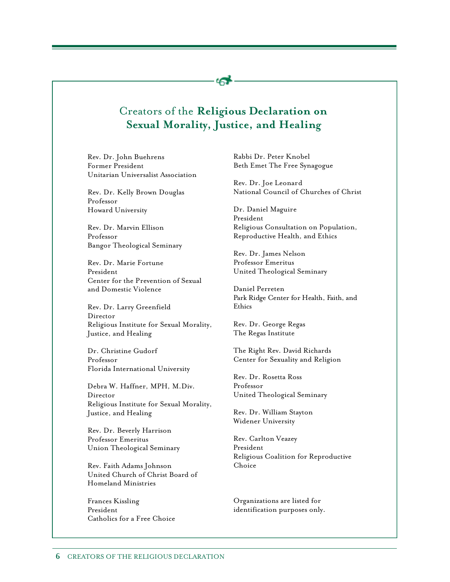# Creators of the **Religious Declaration on Sexual Morality, Justice, and Healing**

47

Rev. Dr. John Buehrens Former President Unitarian Universalist Association

Rev. Dr. Kelly Brown Douglas Professor Howard University

Rev. Dr. Marvin Ellison Professor Bangor Theological Seminary

Rev. Dr. Marie Fortune President Center for the Prevention of Sexual and Domestic Violence

Rev. Dr. Larry Greenfield Director Religious Institute for Sexual Morality, Justice, and Healing

Dr. Christine Gudorf Professor Florida International University

Debra W. Haffner, MPH, M.Div. Director Religious Institute for Sexual Morality, Justice, and Healing

Rev. Dr. Beverly Harrison Professor Emeritus Union Theological Seminary

Rev. Faith Adams Johnson United Church of Christ Board of Homeland Ministries

Frances Kissling President Catholics for a Free Choice Rabbi Dr. Peter Knobel Beth Emet The Free Synagogue

Rev. Dr. Joe Leonard National Council of Churches of Christ

Dr. Daniel Maguire President Religious Consultation on Population, Reproductive Health, and Ethics

Rev. Dr. James Nelson Professor Emeritus United Theological Seminary

Daniel Perreten Park Ridge Center for Health, Faith, and Ethics

Rev. Dr. George Regas The Regas Institute

The Right Rev. David Richards Center for Sexuality and Religion

Rev. Dr. Rosetta Ross Professor United Theological Seminary

Rev. Dr. William Stayton Widener University

Rev. Carlton Veazey President Religious Coalition for Reproductive Choice

Organizations are listed for identification purposes only.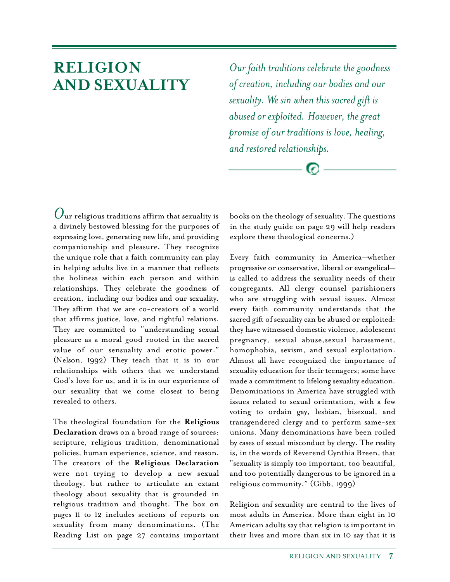# **RELIGION AND SEXUALITY**

*Our faith traditions celebrate the goodness of creation, including our bodies and our sexuality. We sin when this sacred gift is abused or exploited. However, the great promise of our traditions is love, healing, and restored relationships.*

*O*ur religious traditions affirm that sexuality is a divinely bestowed blessing for the purposes of expressing love, generating new life, and providing companionship and pleasure. They recognize the unique role that a faith community can play in helping adults live in a manner that reflects the holiness within each person and within relationships. They celebrate the goodness of creation, including our bodies and our sexuality. They affirm that we are co-creators of a world that affirms justice, love, and rightful relations. They are committed to "understanding sexual pleasure as a moral good rooted in the sacred value of our sensuality and erotic power." (Nelson, l992) They teach that it is in our relationships with others that we understand God's love for us, and it is in our experience of our sexuality that we come closest to being revealed to others.

The theological foundation for the **Religious Declaration** draws on a broad range of sources: scripture, religious tradition, denominational policies, human experience, science, and reason. The creators of the **Religious Declaration** were not trying to develop a new sexual theology, but rather to articulate an extant theology about sexuality that is grounded in religious tradition and thought. The box on pages ll to l2 includes sections of reports on sexuality from many denominations. (The Reading List on page 27 contains important

books on the theology of sexuality. The questions in the study guide on page 29 will help readers explore these theological concerns.)

 $\odot$ 

Every faith community in America—whether progressive or conservative, liberal or evangelicalis called to address the sexuality needs of their congregants. All clergy counsel parishioners who are struggling with sexual issues. Almost every faith community understands that the sacred gift of sexuality can be abused or exploited: they have witnessed domestic violence, adolescent pregnancy, sexual abuse, sexual haras sment, homophobia, sexism, and sexual exploitation. Almost all have recognized the importance of sexuality education for their teenagers; some have made a commitment to lifelong sexuality education. Denominations in America have struggled with issues related to sexual orientation, with a few voting to ordain gay, lesbian, bisexual, and transgendered clergy and to perform same-sex unions. Many denominations have been roiled by cases of sexual misconduct by clergy. The reality is, in the words of Reverend Cynthia Breen, that "sexuality is simply too important, too beautiful, and too potentially dangerous to be ignored in a religious community." (Gibb, l999)

Religion *and* sexuality are central to the lives of most adults in America. More than eight in l0 American adults say that religion is important in their lives and more than six in l0 say that it is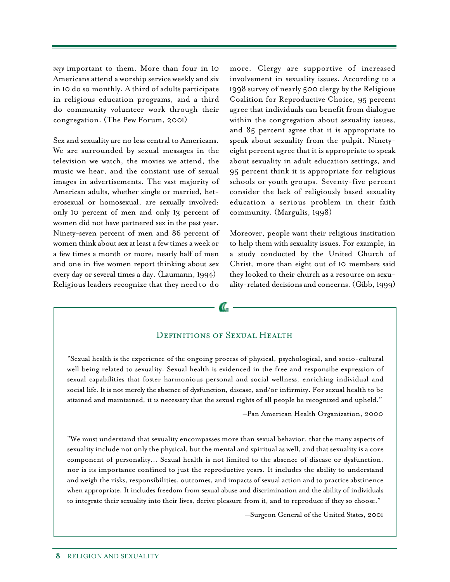*very* important to them. More than four in l0 Americans attend a worship service weekly and six in l0 do so monthly. A third of adults participate in religious education programs, and a third do community volunteer work through their congregation. (The Pew Forum, 200l)

Sex and sexuality are no less central to Americans. We are surrounded by sexual messages in the television we watch, the movies we attend, the music we hear, and the constant use of sexual images in advertisements. The vast majority of American adults, whether single or married, heterosexual or homosexual, are sexually involved: only l0 percent of men and only l3 percent of women did not have partnered sex in the past year. Ninety-seven percent of men and 86 percent of women think about sex at least a few times a week or a few times a month or more; nearly half of men and one in five women report thinking about sex every day or several times a day. (Laumann, l994) Religious leaders recognize that they need to do

more. Clergy are supportive of increased involvement in sexuality issues. According to a l998 survey of nearly 500 clergy by the Religious Coalition for Reproductive Choice, 95 percent agree that individuals can benefit from dialogue within the congregation about sexuality issues, and 85 percent agree that it is appropriate to speak about sexuality from the pulpit. Ninetyeight percent agree that it is appropriate to speak about sexuality in adult education settings, and 95 percent think it is appropriate for religious schools or youth groups. Seventy-five percent consider the lack of religiously based sexuality education a serious problem in their faith community. (Margulis, l998)

Moreover, people want their religious institution to help them with sexuality issues. For example, in a study conducted by the United Church of Christ, more than eight out of l0 members said they looked to their church as a resource on sexuality-related decisions and concerns. (Gibb, 1999)

### DEFINITIONS OF SEXUAL HEALTH

Œ.

"Sexual health is the experience of the ongoing process of physical, psychological, and socio-cultural well being related to sexuality. Sexual health is evidenced in the free and responsibe expression of sexual capabilities that foster harmonious personal and social wellness, enriching individual and social life. It is not merely the absence of dysfunction, disease, and/or infirmity. For sexual health to be attained and maintained, it is necessary that the sexual rights of all people be recognized and upheld."

–Pan American Health Organization, 2000

"We must understand that sexuality encompasses more than sexual behavior, that the many aspects of sexuality include not only the physical, but the mental and spiritual as well, and that sexuality is a core component of personality… Sexual health is not limited to the absence of disease or dysfunction, nor is its importance confined to just the reproductive years. It includes the ability to understand and weigh the risks, responsibilities, outcomes, and impacts of sexual action and to practice abstinence when appropriate. It includes freedom from sexual abuse and discrimination and the ability of individuals to integrate their sexuality into their lives, derive pleasure from it, and to reproduce if they so choose."

—Surgeon General of the United States, 200l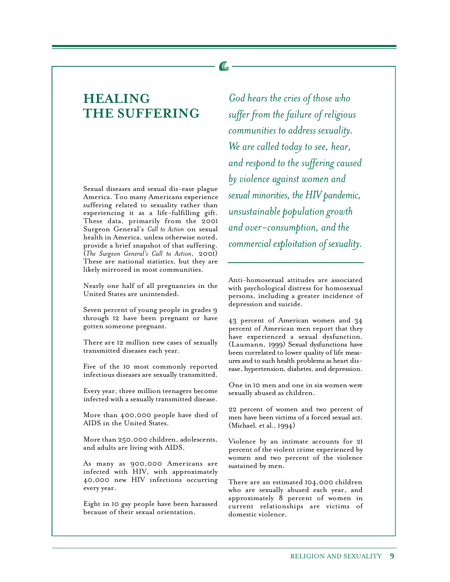# **HEALING THE SUFFERING**

Æ.

Sexual diseases and sexual dis-ease plague America. Too many Americans experience suffering related to sexuality rather than experiencing it as a life-fulfilling gift. These data, primarily from the 200l Surgeon General's *Call to Action* on sexual health in America, unless otherwise noted, provide a brief snapshot of that suffering. (*The Surgeon General's Call to Action*, 200l) These are national statistics, but they are likely mirrored in most communities.

Nearly one half of all pregnancies in the United States are unintended.

Seven percent of young people in grades 9 through l2 have been pregnant or have gotten someone pregnant.

There are l2 million new cases of sexually transmitted diseases each year.

Five of the l0 most commonly reported infectious diseases are sexually transmitted.

Every year, three million teenagers become infected with a sexually transmitted disease.

More than 400,000 people have died of AIDS in the United States.

More than 250,000 children, adolescents, and adults are living with AIDS.

As many as 900,000 Americans are infected with HIV, with approximately 40,000 new HIV infections occurring every year.

Eight in l0 gay people have been harassed because of their sexual orientation.

*God hears the cries of those who suffer from the failure of religious communities to address sexuality. We are called today to see, hear, and respond to the suffering caused by violence against women and sexual minorities, the HIV pandemic, unsustainable population growth and over-consumption, and the commercial exploitation of sexuality.*

Anti-homosexual attitudes are associated with psychological distress for homosexual persons, including a greater incidence of depression and suicide.

43 percent of American women and 34 percent of American men report that they have experienced a sexual dysfunction. (Laumann, 1999) Sexual dysfunctions have been correlated to lower quality of life measures and to such health problems as heart disease, hypertension, diabetes, and depression.

One in l0 men and one in six women were sexually abused as children.

22 percent of women and two percent of men have been victims of a forced sexual act. (Michael, et al., 1994)

Violence by an intimate accounts for 2l percent of the violent crime experienced by women and two percent of the violence sustained by men.

There are an estimated l04,000 children who are sexually abused each year, and approximately 8 percent of women in current relationships are victims of domestic violence.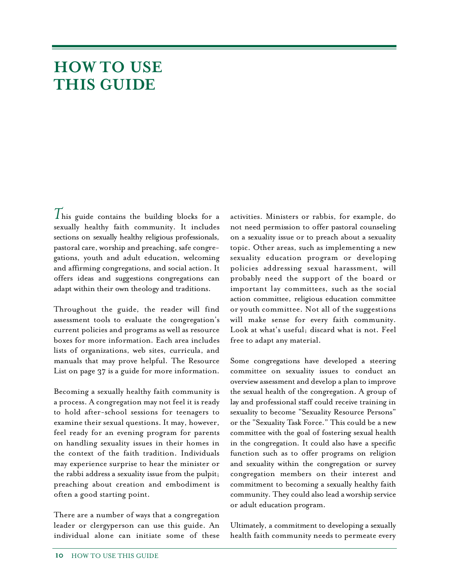# **HOW TO USE THIS GUIDE**

*T*his guide contains the building blocks for a sexually healthy faith community. It includes sections on sexually healthy religious professionals, pastoral care, worship and preaching, safe congregations, youth and adult education, welcoming and affirming congregations, and social action. It offers ideas and suggestions congregations can adapt within their own theology and traditions.

Throughout the guide, the reader will find assessment tools to evaluate the congregation's current policies and programs as well as resource boxes for more information. Each area includes lists of organizations, web sites, curricula, and manuals that may prove helpful. The Resource List on page 37 is a guide for more information.

Becoming a sexually healthy faith community is a process. A congregation may not feel it is ready to hold after-school sessions for teenagers to examine their sexual questions. It may, however, feel ready for an evening program for parents on handling sexuality issues in their homes in the context of the faith tradition. Individuals may experience surprise to hear the minister or the rabbi address a sexuality issue from the pulpit; preaching about creation and embodiment is often a good starting point.

There are a number of ways that a congregation leader or clergyperson can use this guide. An individual alone can initiate some of these

activities. Ministers or rabbis, for example, do not need permission to offer pastoral counseling on a sexuality issue or to preach about a sexuality topic. Other areas, such as implementing a new sexuality education program or developing policies addressing sexual harassment, will probably need the support of the board or important lay committees, such as the social action committee, religious education committee or youth committee. Not all of the suggestions will make sense for every faith community. Look at what's useful; discard what is not. Feel free to adapt any material.

Some congregations have developed a steering committee on sexuality issues to conduct an overview assessment and develop a plan to improve the sexual health of the congregation. A group of lay and professional staff could receive training in sexuality to become "Sexuality Resource Persons" or the "Sexuality Task Force." This could be a new committee with the goal of fostering sexual health in the congregation. It could also have a specific function such as to offer programs on religion and sexuality within the congregation or survey congregation members on their interest and commitment to becoming a sexually healthy faith community. They could also lead a worship service or adult education program.

Ultimately, a commitment to developing a sexually health faith community needs to permeate every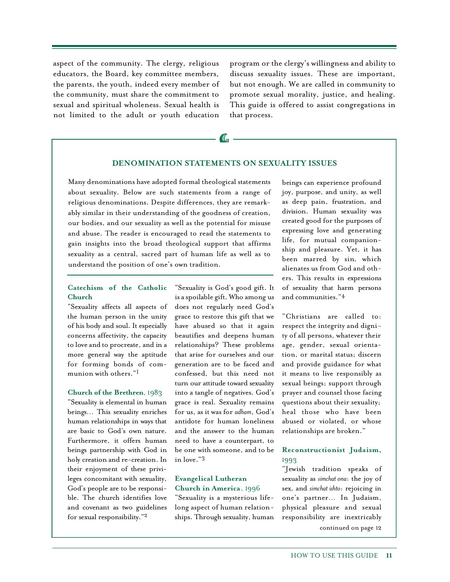aspect of the community. The clergy, religious educators, the Board, key committee members, the parents, the youth, indeed every member of the community, must share the commitment to sexual and spiritual wholeness. Sexual health is not limited to the adult or youth education

program or the clergy's willingness and ability to discuss sexuality issues. These are important, but not enough. We are called in community to promote sexual morality, justice, and healing. This guide is offered to assist congregations in that process.

### **DENOMINATION STATEMENTS ON SEXUALITY ISSUES**

Æ.,

Many denominations have adopted formal theological statements about sexuality. Below are such statements from a range of religious denominations. Despite differences, they are remarkably similar in their understanding of the goodness of creation, our bodies, and our sexuality as well as the potential for misuse and abuse. The reader is encouraged to read the statements to gain insights into the broad theological support that affirms sexuality as a central, sacred part of human life as well as to understand the position of one's own tradition.

### **Catechism of the Catholic C h u r c h**

"Sexuality affects all aspects of the human person in the unity of his body and soul. It especially concerns affectivity, the capacity to love and to procreate, and in a more general way the aptitude for forming bonds of communion with others."l

### **Church of the Brethren**, 1983

"Sexuality is elemental in human beings… This sexuality enriches human relationships in ways that are basic to God's own nature. Furthermore, it offers human beings partnership with God in holy creation and re-creation. In their enjoyment of these privileges concomitant with sexuality, God's people are to be responsible. The church identifies love and covenant as two guidelines for sexual responsibility."<sup>2</sup>

"Sexuality is God's good gift. It is a spoilable gift. Who among us does not regularly need God's grace to restore this gift that we have abused so that it again beautifies and deepens human relationships? These problems that arise for ourselves and our generation are to be faced and confessed, but this need not turn our attitude toward sexuality into a tangle of negatives. God's grace is real. Sexuality remains for us, as it was for *adham*, God's antidote for human loneliness and the answer to the human need to have a counterpart, to be one with someone, and to be in love."3

### **Evangelical Lutheran Church in America**, l996

"Sexuality is a mysterious lifelong aspect of human relationships. Through sexuality, human beings can experience profound joy, purpose, and unity, as well as deep pain, frustration, and division. Human sexuality was c reated good for the purposes of expressing love and generating life, for mutual companionship and pleasure. Yet, it has been marred by sin, which alienates us from God and others. This results in expressions of sexuality that harm persons and communities."4

"Christians are called to: respect the integrity and dignity of all persons, whatever their age, gender, sexual orientation, or marital status; discern and provide guidance for what it means to live responsibly as sexual beings; support through prayer and counsel those facing questions about their sexuality; heal those who have been abused or violated, or whose relationships are broken."

### **Reconstructionist Judaism,** l993

"Jewish tradition speaks of sexuality as *simchat ona*: the joy of sex, and *simchat ishto*: rejoicing in one's partner… In Judaism, physical pleasure and sexual responsibility are inextricably continued on page l2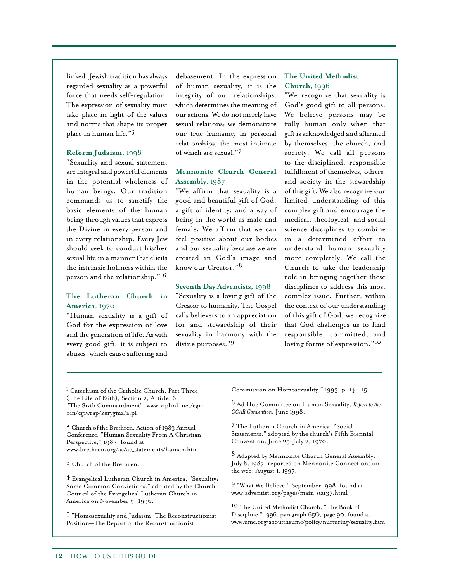linked. Jewish tradition has always regarded sexuality as a powerful force that needs self-regulation. The expression of sexuality must take place in light of the values and norms that shape its proper place in human life."5

### **Reform Judaism,** l998

"Sexuality and sexual statement are integral and powerful elements in the potential wholeness of human beings. Our tradition commands us to sanctify the basic elements of the human being through values that express the Divine in every person and in every relationship. Every Jew should seek to conduct his/her sexual life in a manner that elicits the intrinsic holiness within the person and the relationship." 6

### **The Lutheran Church in America**, l970

"Human sexuality is a gift of God for the expression of love and the generation of life. As with every good gift, it is subject to abuses, which cause suffering and

debasement. In the expression of human sexuality, it is the integrity of our relationships, which determines the meaning of our actions. We do not merely have sexual relations; we demonstrate our true humanity in personal relationships, the most intimate of which are sexual."7

### **Mennonite Church General Assembly**, l987

"We affirm that sexuality is a good and beautiful gift of God, a gift of identity, and a way of being in the world as male and female. We affirm that we can feel positive about our bodies and our sexuality because we are c reated in God's image and know our Creator."8

### **Seventh Day Adventists,** l998

"Sexuality is a loving gift of the C reator to humanity. The Gospel calls believers to an appreciation for and stewardship of their sexuality in harmony with the divine purposes."9

### **The United Methodist Church,** l996

"We recognize that sexuality is God's good gift to all persons. We believe persons may be fully human only when that gift is acknowledged and affirmed by themselves, the church, and society. We call all persons to the disciplined, responsible fulfillment of themselves, others, and society in the stewardship of this gift. We also recognize our limited understanding of this complex gift and encourage the medical, theological, and social science disciplines to combine in a determined effort to understand human sexuality more completely. We call the Church to take the leadership role in bringing together these disciplines to address this most complex issue. Further, within the context of our understanding of this gift of God, we recognize that God challenges us to find responsible, committed, and loving forms of expression."10

l Catechism of the Catholic Church, Part Three (The Life of Faith), Section 2, Article, 6, "The Sixth Commandment", www.ziplink.net/cgibin/cgiwrap/kerygma/a.pl

<sup>2</sup> Church of the Brethren, Action of 1983 Annual Conference, "Human Sexuality From A Christian Perspective," 1983, found at www.brethren.org/ac/ac\_statements/human.htm

3 Church of the Brethren.

4 Evangelical Lutheran Church in America, "Sexuality: Some Common Convictions," adopted by the Church Council of the Evangelical Lutheran Church in America on November 9, l996.

5 "Homosexuality and Judaism: The Reconstructionist Position—The Report of the Reconstructionist

Commission on Homosexuality," l993, p. l4 - l5.

6 Ad Hoc Committee on Human Sexuality, *Report to the CCAR Convention,* June l998.

7 The Lutheran Church in America, "Social Statements," adopted by the church's Fifth Biennial Convention, June 25-July 2, 1970.

8 Adapted by Mennonite Church General Assembly, July 8, l987, reported on Mennonite Connections on the web, August l, l997.

9 "What We Believe," September l998, found at www.adventist.org/pages/main\_stat37.html

10 The United Methodist Church, "The Book of Discipline," 1996, paragraph 65G, page 90, found at www.umc.org/abouttheumc/policy/nurturing/sexuality.htm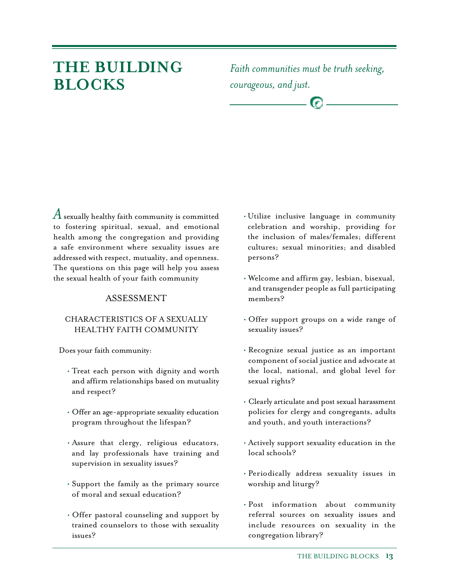# **THE BUILDING BLOCKS**

*Faith communities must be truth seeking, courageous, and just.*

*A*sexually healthy faith community is committed to fostering spiritual, sexual, and emotional health among the congregation and providing a safe environment where sexuality issues are addressed with respect, mutuality, and openness. The questions on this page will help you assess the sexual health of your faith community

# ASSESSMENT

# CHARACTERISTICS OF A SEXUALLY HEALTHY FAITH COMMUNITY

Does your faith community:

- Treat each person with dignity and worth and affirm relationships based on mutuality and respect?
- Offer an age-appropriate sexuality education program throughout the lifespan?
- · Assure that clergy, religious educators, and lay professionals have training and supervision in sexuality issues?
- Support the family as the primary source of moral and sexual education?
- Offer pastoral counseling and support by trained counselors to those with sexuality issues?

• Utilize inclusive language in community celebration and worship, providing for the inclusion of males/females; different cultures; sexual minorities; and disabled persons?

- Welcome and affirm gay, lesbian, bisexual, and transgender people as full participating members?
- Offer support groups on a wide range of sexuality issues?
- Recognize sexual justice as an important component of social justice and advocate at the local, national, and global level for sexual rights?
- Clearly articulate and post sexual harassment policies for clergy and congregants, adults and youth, and youth interactions?
- Actively support sexuality education in the local schools?
- Periodically address sexuality issues in worship and liturgy?
- Post information about community referral sources on sexuality issues and include resources on sexuality in the congregation library?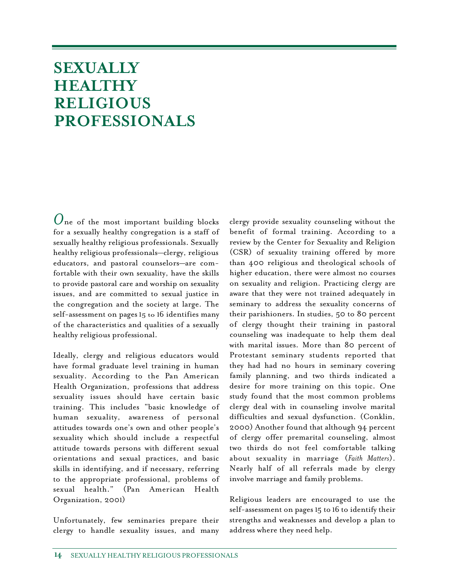# **SEXUALLY HEALTHY RELIGIOUS PROFESSIONALS**

*O*ne of the most important building blocks for a sexually healthy congregation is a staff of sexually healthy religious professionals. Sexually healthy religious professionals—clergy, religious educators, and pastoral counselors—are comfortable with their own sexuality, have the skills to provide pastoral care and worship on sexuality issues, and are committed to sexual justice in the congregation and the society at large. The self-assessment on pages l5 to l6 identifies many of the characteristics and qualities of a sexually healthy religious professional.

Ideally, clergy and religious educators would have formal graduate level training in human sexuality. According to the Pan American Health Organization, professions that address sexuality issues should have certain basic training. This includes "basic knowledge of human sexuality, awareness of personal attitudes towards one's own and other people's sexuality which should include a respectful attitude towards persons with different sexual orientations and sexual practices, and basic skills in identifying, and if necessary, referring to the appropriate professional, problems of sexual health." (Pan American Health Organization, 200l)

Unfortunately, few seminaries prepare their clergy to handle sexuality issues, and many

clergy provide sexuality counseling without the benefit of formal training. According to a review by the Center for Sexuality and Religion (CSR) of sexuality training offered by more than 400 religious and theological schools of higher education, there were almost no courses on sexuality and religion. Practicing clergy are aware that they were not trained adequately in seminary to address the sexuality concerns of their parishioners. In studies, 50 to 80 percent of clergy thought their training in pastoral counseling was inadequate to help them deal with marital issues. More than 80 percent of Protestant seminary students reported that they had had no hours in seminary covering family planning, and two thirds indicated a desire for more training on this topic. One study found that the most common problems clergy deal with in counseling involve marital difficulties and sexual dysfunction. (Conklin, 2000) Another found that although 94 percent of clergy offer premarital counseling, almost two thirds do not feel comfortable talking about sexuality in marriage (*Faith Matters*) . Nearly half of all referrals made by clergy involve marriage and family problems.

Religious leaders are encouraged to use the self-assessment on pages l5 to l6 to identify their strengths and weaknesses and develop a plan to address where they need help.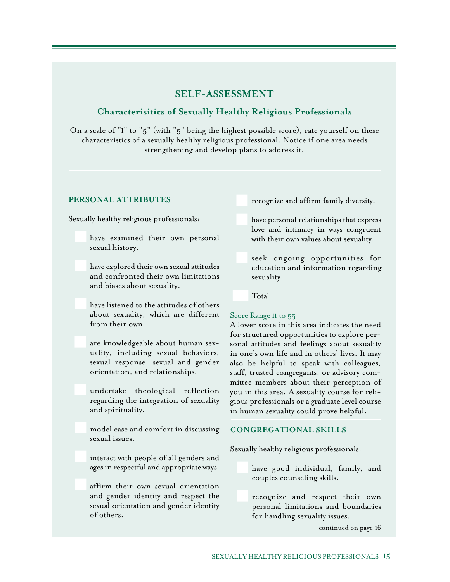# **SELF-ASSESSMENT**

# **Characterisitics of Sexually Healthy Religious Professionals**

On a scale of "l" to "5" (with "5" being the highest possible score), rate yourself on these characteristics of a sexually healthy religious professional. Notice if one area needs strengthening and develop plans to address it.

### **PERSONAL ATTRIBUTES**

Sexually healthy religious professionals:

- have examined their own personal sexual history.
- have explored their own sexual attitudes and confronted their own limitations and biases about sexuality.

have listened to the attitudes of others about sexuality, which are different from their own.

are knowledgeable about human sexuality, including sexual behaviors, sexual response, sexual and gender orientation, and relationships.

undertake theological reflection regarding the integration of sexuality and spirituality.

model ease and comfort in discussing sexual issues.

interact with people of all genders and ages in respectful and appropriate ways.

affirm their own sexual orientation and gender identity and respect the sexual orientation and gender identity of others.

recognize and affirm family diversity.

have personal relationships that express love and intimacy in ways congruent with their own values about sexuality.

seek ongoing opportunities for education and information regarding sexuality.

**Total** 

### Score Range II to 55

A lower score in this area indicates the need for structured opportunities to explore personal attitudes and feelings about sexuality in one's own life and in others' lives. It may also be helpful to speak with colleagues, staff, trusted congregants, or advisory committee members about their perception of you in this area. A sexuality course for religious professionals or a graduate level course in human sexuality could prove helpful.

### **CONGREGATIONAL SKILLS**

Sexually healthy religious professionals:

- have good individual, family, and couples counseling skills.
	- recognize and respect their own personal limitations and boundaries for handling sexuality issues.

continued on page l6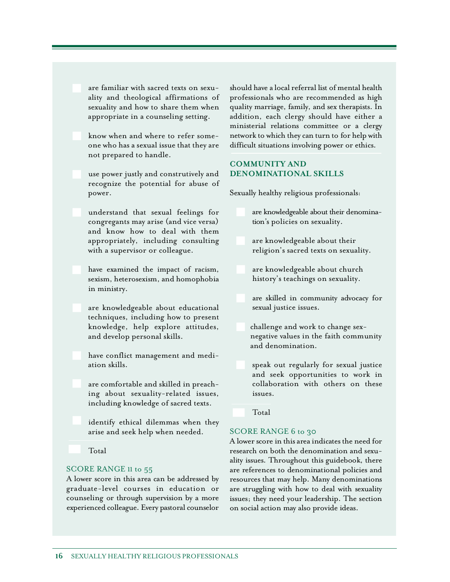are familiar with sacred texts on sexuality and theological affirmations of sexuality and how to share them when appropriate in a counseling setting.

- know when and where to refer someone who has a sexual issue that they are not prepared to handle.
- use power justly and construtively and recognize the potential for abuse of power.
- understand that sexual feelings for congregants may arise (and vice versa) and know how to deal with them appropriately, including consulting with a supervisor or colleague.
- have examined the impact of racism, sexism, heterosexism, and homophobia in ministry.
- are knowledgeable about educational techniques, including how to present knowledge, help explore attitudes, and develop personal skills.
- have conflict management and mediation skills.
- are comfortable and skilled in preaching about sexuality-related issues, including knowledge of sacred texts.
- identify ethical dilemmas when they arise and seek help when needed.
- Total

### SCORE RANGE ll to 55

A lower score in this area can be addressed by g raduate-level courses in education or counseling or through supervision by a more experienced colleague. Every pastoral counselor

should have a local referral list of mental health professionals who are recommended as high quality marriage, family, and sex therapists. In addition, each clergy should have either a ministerial relations committee or a clergy network to which they can turn to for help with difficult situations involving power or ethics.

### **COMMUNITY AND DENOMINATIONAL SKILLS**

Sexually healthy religious professionals:

- are knowledgeable about their denomination's policies on sexuality.
	- are knowledgeable about their religion's sacred texts on sexuality.
	- are knowledgeable about church history's teachings on sexuality.
	- are skilled in community advocacy for s exual justice issues.
- challenge and work to change sexnegative values in the faith community and denomination.
- speak out regularly for sexual justice and seek opportunities to work in collaboration with others on these issues.
- Total

### SCORE RANGE 6 to 30

A lower score in this area indicates the need for research on both the denomination and sexuality issues. Throughout this guidebook, there are references to denominational policies and resources that may help. Many denominations are struggling with how to deal with sexuality issues; they need your leadership. The section on social action may also provide ideas.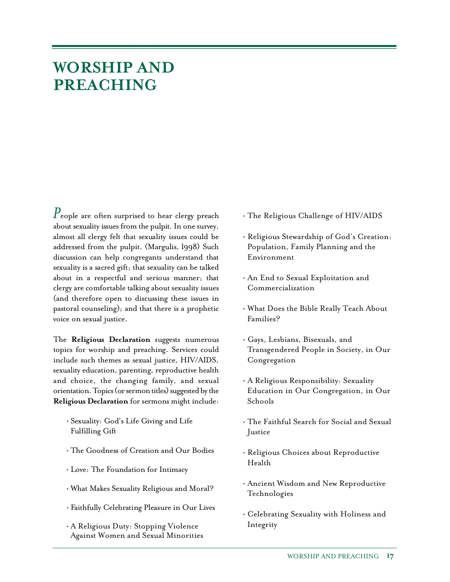# **WORSHIP AND PREACHING**

 $P_{\mathsf{e}}$ ople are often surprised to hear clergy preach about sexuality issues from the pulpit. In one survey, almost all clergy felt that sexuality issues could be addressed from the pulpit. (Margulis, 1998) Such discussion can help congregants understand that sexuality is a sacred gift; that sexuality can be talked about in a respectful and serious manner; that clergy are comfortable talking about sexuality issues (and therefore open to discussing these issues in pastoral counseling); and that there is a prophetic voice on sexual justice.

The **Religious Declaration** suggests numerous topics for worship and preaching. Services could include such themes as sexual justice, HIV/AIDS, sexuality education, parenting, reproductive health and choice, the changing family, and sexual orientation. Topics (or sermon titles) suggested by the **Religious Declaration** for sermons might include:

- Sexuality: God's Life Giving and Life Fulfilling Gift
- The Goodness of Creation and Our Bodies
- Love: The Foundation for Intimacy
- What Makes Sexuality Religious and Moral?
- Faithfully Celebrating Pleasure in Our Lives
- A Religious Duty: Stopping Violence Against Women and Sexual Minorities
- The Religious Challenge of HIV/AIDS
- Religious Stewardship of God's Creation: Population, Family Planning and the Environment
- An End to Sexual Exploitation and Commercialization
- What Does the Bible Really Teach About Families?
- Gays, Lesbians, Bisexuals, and Transgendered People in Society, in Our Congregation
- A Religious Responsibility: Sexuality Education in Our Congregation, in Our Schools
- The Faithful Search for Social and Sexual **Justice**
- Religious Choices about Reproductive Health
- Ancient Wisdom and New Reproductive Technologies
- Celebrating Sexuality with Holiness and Integrity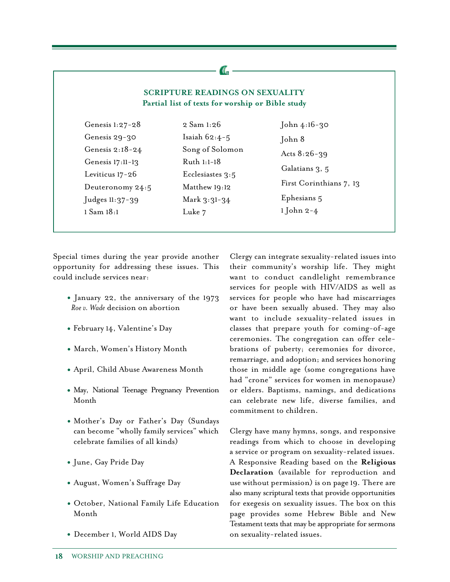| <b>SCRIPTURE READINGS ON SEXUALITY</b><br>Partial list of texts for worship or Bible study |                  |                                           |  |
|--------------------------------------------------------------------------------------------|------------------|-------------------------------------------|--|
| Genesis $1:27-28$                                                                          | 2 Sam 1:26       | John 4:16-30                              |  |
| Genesis 29-30                                                                              | Isaiah $62:4-5$  | John 8                                    |  |
| Genesis $2:18-24$                                                                          | Song of Solomon  | Acts $8:26-39$                            |  |
| Genesis $17:11-13$                                                                         | $Ruth 1:1-18$    |                                           |  |
| Leviticus 17-26                                                                            | Ecclesiastes 3:5 | Galatians 3, 5<br>First Corinthians 7, 13 |  |
| Deuteronomy 24:5                                                                           | Matthew 19:12    |                                           |  |
| Judges $11:37-39$                                                                          | Mark 3:31-34     | Ephesians 5                               |  |
| $1$ Sam $18:1$                                                                             | Luke 7           | $1$ John 2-4                              |  |

Special times during the year provide another opportunity for addressing these issues. This could include services near:

- January 22, the anniversary of the l973 *Roe v. Wade* decision on abortion
- February l4, Valentine's Day
- March, Women's History Month
- April, Child Abuse Awareness Month
- May, National Teenage Pregnancy Prevention Month
- Mother's Day or Father's Day (Sundays can become "wholly family services" which celebrate families of all kinds)
- June, Gay Pride Day
- August, Women's Suffrage Day
- October, National Family Life Education Month
- December l, World AIDS Day

Clergy can integrate sexuality-related issues into their community's worship life. They might want to conduct candlelight remembrance services for people with HIV/AIDS as well as services for people who have had miscarriages or have been sexually abused. They may also want to include sexuality-related issues in classes that prepare youth for coming-of-age ceremonies. The congregation can offer celebrations of puberty; ceremonies for divorce, remarriage, and adoption; and services honoring those in middle age (some congregations have had "crone" services for women in menopause) or elders. Baptisms, namings, and dedications can celebrate new life, diverse families, and commitment to children.

Clergy have many hymns, songs, and responsive readings from which to choose in developing a service or program on sexuality-related issues. A Responsive Reading based on the **Religious Declaration** (available for reproduction and use without permission) is on page l9. There are also many scriptural texts that provide opportunities for exegesis on sexuality issues. The box on this page provides some Hebrew Bible and New Testament texts that may be appropriate for sermons on sexuality-related issues.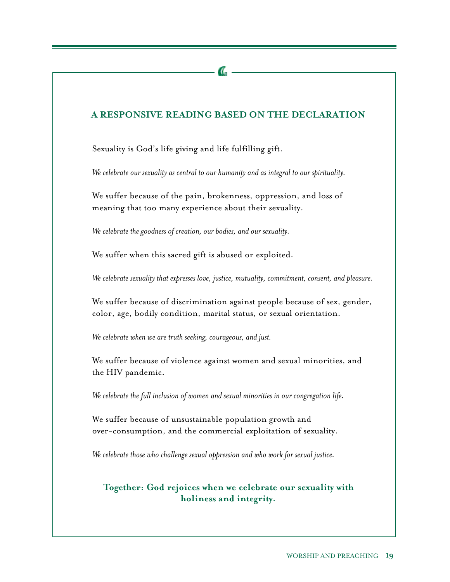# **A RESPONSIVE READING BASED ON THE DECLARATION**

Œ.

Sexuality is God's life giving and life fulfilling gift.

*We celebrate our sexuality as central to our humanity and as integral to our spirituality.*

We suffer because of the pain, brokenness, oppression, and loss of meaning that too many experience about their sexuality.

*We celebrate the goodness of creation, our bodies, and our sexuality.*

We suffer when this sacred gift is abused or exploited.

*We celebrate sexuality that expresses love, justice, mutuality, commitment, consent, and pleasure.*

We suffer because of discrimination against people because of sex, gender, color, age, bodily condition, marital status, or sexual orientation.

*We celebrate when we are truth seeking, courageous, and just.*

We suffer because of violence against women and sexual minorities, and the HIV pandemic.

*We celebrate the full inclusion of women and sexual minorities in our congregation life.*

We suffer because of unsustainable population growth and over-consumption, and the commercial exploitation of sexuality.

*We celebrate those who challenge sexual oppression and who work for sexual justice.*

**Together: God rejoices when we celebrate our sexuality with holiness and integrity.**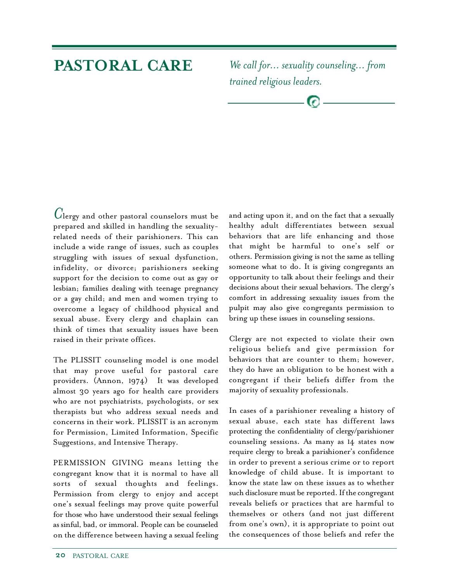**PASTORAL CARE** *We call for… sexuality counseling… from trained religious leaders.* 



*C*lergy and other pastoral counselors must be prepared and skilled in handling the sexualityrelated needs of their parishioners. This can include a wide range of issues, such as couples struggling with issues of sexual dysfunction, infidelity, or divorce; parishioners seeking support for the decision to come out as gay or lesbian; families dealing with teenage pregnancy or a gay child; and men and women trying to overcome a legacy of childhood physical and sexual abuse. Every clergy and chaplain can think of times that sexuality issues have been raised in their private offices.

The PLISSIT counseling model is one model that may prove useful for pastoral care providers. (Annon, l974) It was developed almost 30 years ago for health care providers who are not psychiatrists, psychologists, or sex therapists but who address sexual needs and concerns in their work. PLISSIT is an acronym for Permission, Limited Information, Specific Suggestions, and Intensive Therapy.

PERMISSION GIVING means letting the congregant know that it is normal to have all sorts of sexual thoughts and feelings. Permission from clergy to enjoy and accept one's sexual feelings may prove quite powerful for those who have understood their sexual feelings as sinful, bad, or immoral. People can be counseled on the difference between having a sexual feeling and acting upon it, and on the fact that a sexually healthy adult differentiates between sexual behaviors that are life enhancing and those that might be harmful to one's self or others. Permission giving is not the same as telling someone what to do. It is giving congregants an opportunity to talk about their feelings and their decisions about their sexual behaviors. The clergy's comfort in addressing sexuality issues from the pulpit may also give congregants permission to bring up these issues in counseling sessions.

Clergy are not expected to violate their own religious beliefs and give permission for behaviors that are counter to them; however, they do have an obligation to be honest with a congregant if their beliefs differ from the majority of sexuality professionals.

In cases of a parishioner revealing a history of sexual abuse, each state has different laws protecting the confidentiality of clergy/parishioner counseling sessions. As many as l4 states now require clergy to break a parishioner's confidence in order to prevent a serious crime or to report knowledge of child abuse. It is important to know the state law on these issues as to whether such disclosure must be reported. If the congregant reveals beliefs or practices that are harmful to themselves or others (and not just different from one's own), it is appropriate to point out the consequences of those beliefs and refer the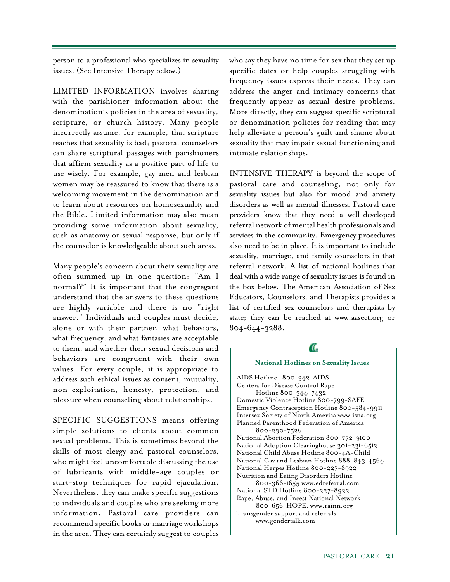person to a professional who specializes in sexuality issues. (See Intensive Therapy below.)

LIMITED INFORMATION involves sharing with the parishioner information about the denomination's policies in the area of sexuality, scripture, or church history. Many people incorrectly assume, for example, that scripture teaches that sexuality is bad; pastoral counselors can share scriptural passages with parishioners that affirm sexuality as a positive part of life to use wisely. For example, gay men and lesbian women may be reassured to know that there is a welcoming movement in the denomination and to learn about resources on homosexuality and the Bible. Limited information may also mean providing some information about sexuality, such as anatomy or sexual response, but only if the counselor is knowledgeable about such areas.

Many people's concern about their sexuality are often summed up in one question: "Am I normal?" It is important that the congregant understand that the answers to these questions are highly variable and there is no "right answer." Individuals and couples must decide, alone or with their partner, what behaviors, what frequency, and what fantasies are acceptable to them, and whether their sexual decisions and behaviors are congruent with their own values. For every couple, it is appropriate to address such ethical issues as consent, mutuality, non-exploitation, honesty, protection, and pleasure when counseling about relationships.

SPECIFIC SUGGESTIONS means offering simple solutions to clients about common sexual problems. This is sometimes beyond the skills of most clergy and pastoral counselors, who might feel uncomfortable discussing the use of lubricants with middle-age couples or start-stop techniques for rapid ejaculation. Nevertheless, they can make specific suggestions to individuals and couples who are seeking more information. Pastoral care providers can recommend specific books or marriage workshops in the area. They can certainly suggest to couples

who say they have no time for sex that they set up specific dates or help couples struggling with frequency issues express their needs. They can address the anger and intimacy concerns that frequently appear as sexual desire problems. More directly, they can suggest specific scriptural or denomination policies for reading that may help alleviate a person's guilt and shame about sexuality that may impair sexual functioning and intimate relationships.

INTENSIVE THERAPY is beyond the scope of pastoral care and counseling, not only for sexuality issues but also for mood and anxiety disorders as well as mental illnesses. Pastoral care providers know that they need a well-developed referral network of mental health professionals and services in the community. Emergency procedures also need to be in place. It is important to include sexuality, marriage, and family counselors in that referral network. A list of national hotlines that deal with a wide range of sexuality issues is found in the box below. The American Association of Sex Educators, Counselors, and Therapists provides a list of certified sex counselors and therapists by state; they can be reached at www.aasect.org or 8 0 4 - 6 4 4 - 3 2 8 8.

### **National Hotlines on Sexuality Issues**

а.

AIDS Hotline 800-342-AIDS Centers for Disease Control Rape Hotline 800-344-7432 Domestic Violence Hotline 800-799-SAFE Emergency Contraception Hotline 800-584-99ll Intersex Society of North America www.isna.org Planned Parenthood Federation of America 800-230-7526 National Abortion Federation 800-772-9l00 National Adoption Clearinghouse 30l-23l-65l2 National Child Abuse Hotline 800-4A-Child National Gay and Lesbian Hotline 888-843-4564 National Herpes Hotline 800-227-8922 Nutrition and Eating Disorders Hotline 800-366-l655 www.edreferral.com National STD Hotline 800-227-8922 Rape, Abuse, and Incest National Network 800-656-HOPE, www.rainn.org Transgender support and referrals

www.gendertalk.com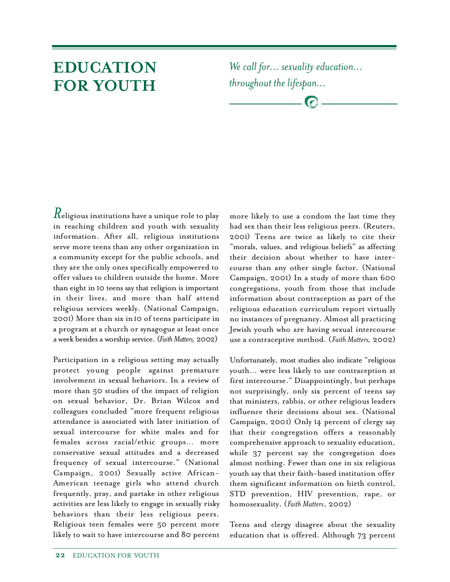# **EDUCATION FOR YOUTH**

*We call for… sexuality education… throughout the lifespan…*

 $\epsilon$ 

*R*eligious institutions have a unique role to play in reaching children and youth with sexuality information. After all, religious institutions serve more teens than any other organization in a community except for the public schools, and they are the only ones specifically empowered to offer values to children outside the home. More than eight in l0 teens say that religion is important in their lives, and more than half attend religious services weekly. (National Campaign, 200l) More than six in l0 of teens participate in a program at a church or synagogue at least once a week besides a worship service. (*Faith Matters,* 2002)

Participation in a religious setting may actually protect young people against premature involvement in sexual behaviors. In a review of more than 50 studies of the impact of religion on sexual behavior, Dr. Brian Wilcox and colleagues concluded "more frequent religious attendance is associated with later initiation of sexual intercourse for white males and for females across racial/ethic groups… more conservative sexual attitudes and a decreased frequency of sexual intercourse." (National Campaign, 200l) Sexually active African-American teenage girls who attend church frequently, pray, and partake in other religious activities are less likely to engage in sexually risky behaviors than their less religious peers. Religious teen females were 50 percent more likely to wait to have intercourse and 80 percent

more likely to use a condom the last time they had sex than their less religious peers. (Reuters, 200l) Teens are twice as likely to cite their "morals, values, and religious beliefs" as affecting their decision about whether to have intercourse than any other single factor. (National Campaign, 200l) In a study of more than 600 congregations, youth from those that include information about contraception as part of the religious education curriculum report virtually no instances of pregnancy. Almost all practicing Jewish youth who are having sexual intercourse use a contraceptive method. (*Faith Matters,* 2002)

Unfortunately, most studies also indicate "religious youth… were less likely to use contraception at first intercourse." Disappointingly, but perhaps not surprisingly, only six percent of teens say that ministers, rabbis, or other religious leaders influence their decisions about sex. (National Campaign, 200l) Only l4 percent of clergy say that their congregation offers a reasonably comprehensive approach to sexuality education, while 37 percent say the congregation does almost nothing. Fewer than one in six religious youth say that their faith-based institution offer them significant information on birth control, STD prevention, HIV prevention, rape, or homosexuality. (*Faith Matters*, 2002)

Teens and clergy disagree about the sexuality education that is offered. Although 73 percent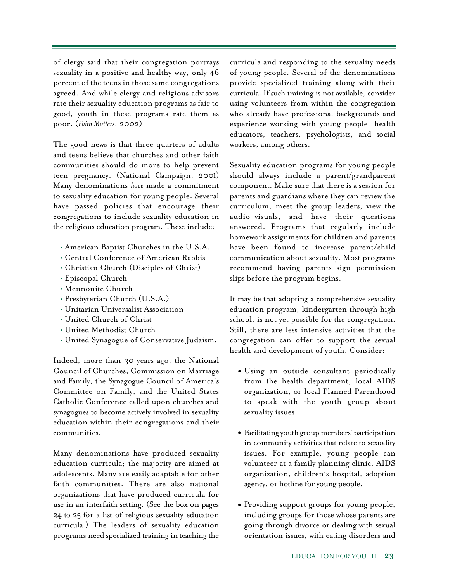of clergy said that their congregation portrays sexuality in a positive and healthy way, only 46 percent of the teens in those same congregations agreed. And while clergy and religious advisors rate their sexuality education programs as fair to good, youth in these programs rate them as poor. (*Faith Matters*, 2002)

The good news is that three quarters of adults and teens believe that churches and other faith communities should do more to help prevent teen pregnancy. (National Campaign, 200l) Many denominations *have* made a commitment to sexuality education for young people. Several have passed policies that encourage their congregations to include sexuality education in the religious education program. These include:

- American Baptist Churches in the U.S.A.
- Central Conference of American Rabbis
- Christian Church (Disciples of Christ)
- Episcopal Church
- Mennonite Church
- Presbyterian Church (U.S.A.)
- Unitarian Universalist Association
- United Church of Christ
- United Methodist Church
- United Synagogue of Conservative Judaism.

Indeed, more than 30 years ago, the National Council of Churches, Commission on Marriage and Family, the Synagogue Council of America's Committee on Family, and the United States Catholic Conference called upon churches and synagogues to become actively involved in sexuality education within their congregations and their communities.

Many denominations have produced sexuality education curricula; the majority are aimed at adolescents. Many are easily adaptable for other faith communities. There are also national organizations that have produced curricula for use in an interfaith setting. (See the box on pages 24 to 25 for a list of religious sexuality education curricula.) The leaders of sexuality education programs need specialized training in teaching the

curricula and responding to the sexuality needs of young people. Several of the denominations provide specialized training along with their curricula. If such training is not available, consider using volunteers from within the congregation who already have professional backgrounds and experience working with young people: health educators, teachers, psychologists, and social workers, among others.

Sexuality education programs for young people should always include a parent/grandparent component. Make sure that there is a session for parents and guardians where they can review the curriculum, meet the group leaders, view the audio-visuals, and have their questions answered. Programs that regularly include homework assignments for children and parents have been found to increase parent/child communication about sexuality. Most programs recommend having parents sign permission slips before the program begins.

It may be that adopting a comprehensive sexuality education program, kindergarten through high school, is not yet possible for the congregation. Still, there are less intensive activities that the congregation can offer to support the sexual health and development of youth. Consider:

- Using an outside consultant periodically from the health department, local AIDS organization, or local Planned Parenthood to speak with the youth group about sexuality issues.
- Facilitating youth group members' participation in community activities that relate to sexuality issues. For example, young people can volunteer at a family planning clinic, AIDS organization, children's hospital, adoption agency, or hotline for young people.
- Providing support groups for young people, including groups for those whose parents are going through divorce or dealing with sexual orientation issues, with eating disorders and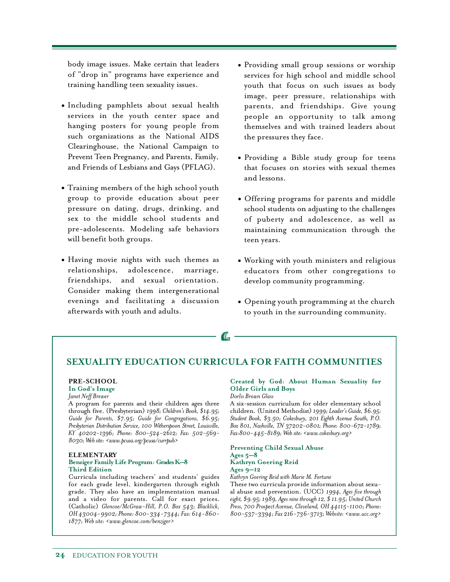body image issues. Make certain that leaders of "drop in" programs have experience and training handling teen sexuality issues.

- Including pamphlets about sexual health services in the youth center space and hanging posters for young people from such organizations as the National AIDS Clearinghouse, the National Campaign to Prevent Teen Pregnancy, and Parents, Family, and Friends of Lesbians and Gays (PFLAG).
- Training members of the high school youth group to provide education about peer pressure on dating, drugs, drinking, and sex to the middle school students and pre-adolescents. Modeling safe behaviors will benefit both groups.
- Having movie nights with such themes as relationships, adolescence, marriage, friendships, and sexual orientation. Consider making them intergenerational evenings and facilitating a discussion afterwards with youth and adults.
- Providing small group sessions or worship services for high school and middle school youth that focus on such issues as body image, peer pressure, relationships with parents, and friendships. Give young people an opportunity to talk among themselves and with trained leaders about the pressures they face.
- Providing a Bible study group for teens that focuses on stories with sexual themes and lessons.
- Offering programs for parents and middle school students on adjusting to the challenges of puberty and adolescence, as well as maintaining communication through the teen years.
- Working with youth ministers and religious educators from other congregations to develop community programming.
- Opening youth programming at the church to youth in the surrounding community.

# **SEXUALITY EDUCATION CURRICULA FOR FAITH COMMUNITIES**

α.

### **PRE-SCHOOL**

# **In God's Image**

*Janet Neff Brewer* A program for parents and their children ages three through five. (Presbyterian) *1998; Children's Book, \$14.95; Guide for Parents, \$7.95; Guide for Congregations, \$6.95; Presbyterian Distribution Service, 100 Witherspoon Street, Louisville, KY 40202-1396; Phone: 800-524-2612; Fax: 502-569- 8030; Web site: <www.pcusa.org/pcusa/currpub>*

### **ELEMENTARY**

### **Benziger Family Life Program: Grades K—8 Third Edition**

Curricula including teachers' and students' guides for each grade level, kindergarten through eighth grade. They also have an implementation manual and a video for parents. Call for exact prices. (Catholic) *Glencoe/McGraw-Hill, P.O. Box 543; Blacklick, OH 43004-9902; Phone: 800-334-7344; Fax: 614-860- 1877; Web site: <www.glencoe.com/benziger>*

### **Created by God: About Human Sexuality for Older Girls and Boys**

### *Dorlis Brown Glass*

A six-session curriculum for older elementary school children. (United Methodist) *1999; Leader's Guide*, \$6.95; *Student Book, \$3.50; Cokesbury, 201 Eighth Avenue South, P. O . Box 801, Nashville, TN 37202-0801; Phone: 800-672-1789; Fax:800-445-8189; Web site: <www.cokesbury.org>*

### **Preventing Child Sexual Abuse Ages 5—8 Kathryn Goering Reid Ages 9—l2**

Kathryn Goering Reid with Marie M. Fortune

These two curricula provide information about sexual abuse and prevention. (UCC) *1994, Ages five through eight, \$9.95; 1989, Ages nine through 12, \$ 11.95; United Church Press, 700 Prospect Avenue, Cleveland, OH 44115-1100; Phone: 800-537-3394; Fax 216-736-3713; Website: <www.ucc.org>*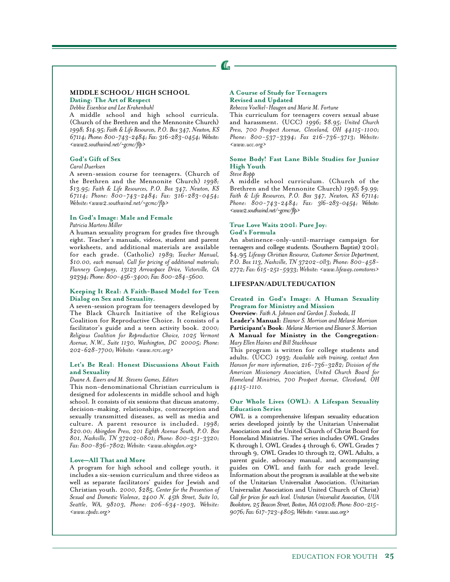#### **MIDDLE SCHOOL/ HIGH SCHOOL**

**Dating: The Art of Respect**

*Debbie Eisenbise and Lee Krahenbuhl*

A middle school and high school curricula. (Church of the Brethren and the Mennonite Church) *1998; \$14.95; Faith & Life Resources, P.O. Box 347, Newton, KS* 67114; Phone: 800-743-2484; Fax: 316-283-0454; Website: *< w w w 2 . s o u t h w i n d . n e t / ~ g c m c / f l p >*

#### **God's Gift of Sex**

#### *Carol Duerksen*

A seven-session course for teenagers. (Church of the Brethren and the Mennonite Church) *1998; \$13.95; Faith & Life Resources, P.O. Box 347, Newton, KS 67114; Phone: 800-743-2484; Fax: 316-283-0454; Website:<www2.southwind.net/~gcmc/flp>*

# **In God's Image: Male and Female**

### *Patricia Martens Miller*

A human sexuality program for grades five through eight. Teacher's manuals, videos, student and parent worksheets, and additional materials are available for each grade. (Catholic) *1989; Teacher Manual, \$10.00, each manual; Call for pricing of additional materials; Flannery Company, 13123 Arrowspace Drive, Victorville, CA 92394; Phone: 800-456-3400; Fax: 800-284-5600.*

### **Keeping It Real: A Faith-Based Model for Teen Dialog on Sex and Sexuality.**

A seven-session program for teenagers developed by The Black Church Initiative of the Religious Coalition for Reproductive Choice. It consists of a facilitator's guide and a teen activity book. *2000; Religious Coalition for Reproductive Choice, 1025 Vermont Avenue, N.W., Suite 1130, Washington, DC 20005; Phone: 202-628-7700; Website: <www.rcrc.org>*

### **Let's Be Real: Honest Discussions About Faith and Sexuality**

*Duane A. Ewers and M. Stevens Games, Editors*

This non-denominational Christian curriculum is designed for adolescents in middle school and high school. It consists of six sessions that discuss anatomy, decision-making, relationships, contraception and sexually transmitted diseases, as well as media and culture. A parent resource is included. 1998; *\$20.00; Abingdon Press, 201 Eighth Avenue South, P.O. Box 801, Nashville, TN 37202-0801; Phone: 800-251-3320; Fax: 800-836-7802; Website: <www.abingdon.org>*

#### **Love—All That and More**

A program for high school and college youth, it includes a six-session curriculum and three videos as well as separate facilitators' guides for Jewish and Christian youth. *2000, \$285, Center for the Prevention of Sexual and Domestic Violence, 2400 N. 45th Street, Suite l0,* Seattle, WA, 98103, Phone: 206-634-1903, Website: *< w w w . c p s d v . o r g >*

#### **A Course of Study for Teenagers Revised and Updated**

*Rebecca Voelkel-Haugen and Marie M. Fortune*

This curriculum for teenagers covers sexual abuse and harassment. (UCC) *1996; \$8.95; United Church Press, 700 Prospect Avenue, Cleveland, OH 44115-1100;* Phone: 800-537-3394; Fax 216-736-3713; Website: *<www.ucc.org>*

### **Some Body! Fast Lane Bible Studies for Junior High Youth**

#### *Steve Ropp*

đ.

A middle school curriculum. (Church of the Brethren and the Mennonite Church) *1998; \$9.99; Faith & Life Resources, P.O. Box 347, Newton, KS 67114; Phone: 800-743-2484; Fax: 3l6-283-0454; Website: < w w w 2 . s o u t h w i n d . n e t / ~ g c m c / f l p >*

### **True Love Waits 200l: Pure Joy: God's Formula**

An abstinence-only-until-marriage campaign for teenagers and college students. (Southern Baptist) 200l; \$4.95 *Lifeway Christian Resource, Customer Service Department, P.O. Box 113, Nashville, TN 37202-0ll3; Phone: 800-458- 2772; Fax: 615-251-5933; Website: <www.lifeway.comstores>*

#### **LIFESPAN/ADULTEDUCATION**

### **Created in God's Image: A Human Sexuality Program for Ministry and Mission**

**Overview**: Faith A. Johnson and Gordon J. Svoboda, II **Leader's Manual:** *Eleanor S. Morrison and Melanie Morrison* **Participant's Book**: *Melanie Morrison and Eleanor S. Morrison* **A Manual for Ministry in the Congregation**: *Mary Ellen Haines and Bill Stackhouse*

This program is written for college students and adults. (UCC) *1993; Available with training, contact Ann Hanson for more information, 216-736-3282; Division of the American Missionary Association, United Church Board for Homeland Ministries, 700 Prospect Avenue, Cleveland, OH 44115-1110.*

#### **Our Whole Lives (OWL): A Lifespan Sexuality Education Series**

OWL is a comprehensive lifespan sexuality education series developed jointly by the Unitarian Universalist Association and the United Church of Christ Board for Homeland Ministries. The series includes OWL Grades K through l, OWL Grades 4 through 6, OWL Grades 7 through 9, OWL Grades l0 through l2, OWL Adults, a parent guide, advocacy manual, and accompanying guides on OWL and faith for each grade level. Information about the program is available at the web site of the Unitarian Universalist Association. (Unitarian Universalist Association and United Church of Christ) *Call for prices for each level. Unitarian Universalist Association, UUA Bookstore, 25 Beacon Street, Boston, MA 02108; Phone: 800-215- 9076; Fax: 617-723-4805; Website: <www.uua.org>*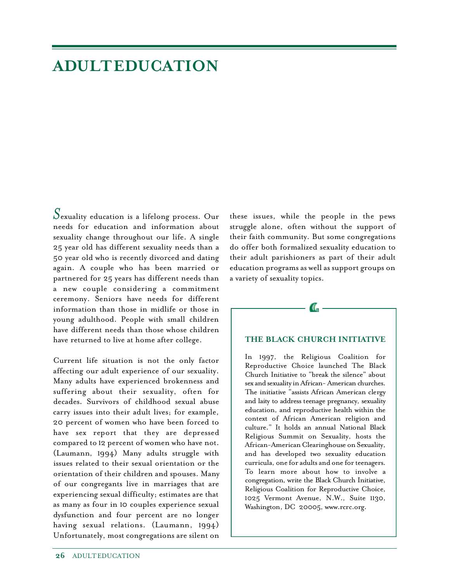# **ADULT EDUCATION**

*S*exuality education is a lifelong process. Our needs for education and information about sexuality change throughout our life. A single 25 year old has different sexuality needs than a 50 year old who is recently divorced and dating again. A couple who has been married or partnered for 25 years has different needs than a new couple considering a commitment ceremony. Seniors have needs for different information than those in midlife or those in young adulthood. People with small children have different needs than those whose children have returned to live at home after college.

Current life situation is not the only factor affecting our adult experience of our sexuality. Many adults have experienced brokenness and suffering about their sexuality, often for decades. Survivors of childhood sexual abuse carry issues into their adult lives; for example, 20 percent of women who have been forced to have sex report that they are depressed compared to l2 percent of women who have not. (Laumann, l994) Many adults struggle with issues related to their sexual orientation or the orientation of their children and spouses. Many of our congregants live in marriages that are experiencing sexual difficulty; estimates are that as many as four in l0 couples experience sexual dysfunction and four percent are no longer having sexual relations. (Laumann, 1994) Unfortunately, most congregations are silent on

these issues, while the people in the pews struggle alone, often without the support of their faith community. But some congregations do offer both formalized sexuality education to their adult parishioners as part of their adult education programs as well as support groups on a variety of sexuality topics.

### **THE BLACK CHURCH INITIATIVE**

Œ.

In l997, the Religious Coalition for Reproductive Choice launched The Black Church Initiative to "break the silence" about sex and sexuality in African- American churches. The initiative "assists African American clergy and laity to address teenage pregnancy, sexuality education, and reproductive health within the context of African American religion and culture." It holds an annual National Black Religious Summit on Sexuality, hosts the African-American Clearinghouse on Sexuality, and has developed two sexuality education curricula, one for adults and one for teenagers. To learn more about how to involve a congregation, write the Black Church Initiative, Religious Coalition for Reproductive Choice, 1025 Vermont Avenue, N.W., Suite 1130, Washington, DC 20005, www.rcrc.org.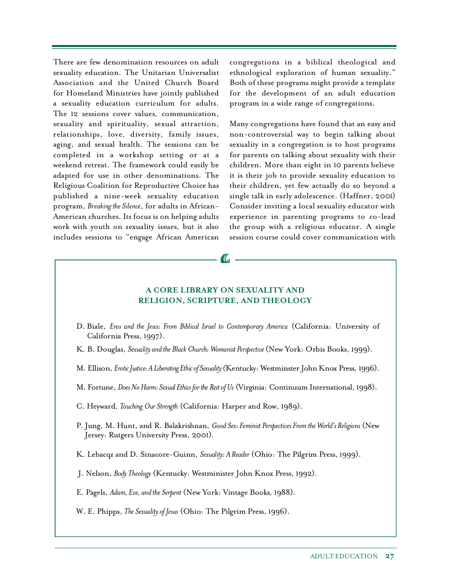There are few denomination resources on adult sexuality education. The Unitarian Universalist Association and the United Church Board for Homeland Ministries have jointly published a sexuality education curriculum for adults. The l2 sessions cover values, communication, sexuality and spirituality, sexual attraction, relationships, love, diversity, family issues, aging, and sexual health. The sessions can be completed in a workshop setting or at a weekend retreat. The framework could easily be adapted for use in other denominations. The Religious Coalition for Reproductive Choice has published a nine-week sexuality education program, *Breaking the Silence*, for adults in African-American churches. Its focus is on helping adults work with youth on sexuality issues, but it also includes sessions to "engage African American

congregations in a biblical theological and ethnological exploration of human sexuality." Both of these programs might provide a template for the development of an adult education program in a wide range of congregations.

Many congregations have found that an easy and non-controversial way to begin talking about sexuality in a congregation is to host programs for parents on talking about sexuality with their children. More than eight in l0 parents believe it is their job to provide sexuality education to their children, yet few actually do so beyond a single talk in early adolescence. (Haffner, 200l) Consider inviting a local sexuality educator with experience in parenting programs to co-lead the group with a religious educator. A single session course could cover communication with

### **A CORE LIBRARY ON SEXUALITY AND RELIGION, SCRIPTURE, AND THEOLOGY**

ď.

- D. Biale, *Eros and the Jews: From Biblical Israel to Contemporary America* (California: University of California Press, 1997).
- K. B. Douglas, *Sexuality and the Black Church: Womanist Perspective* (New York: Orbis Books, 1999).
- M. Ellison, *Erotic Justice: A Liberating Ethic of Sexuality (*Kentucky: Westminster John Knox Press, l9 9 6 ) .
- M. Fortune, *Does No Harm: Sexual Ethics for the Rest of Us* (Virginia: Continuum International, 1998).
- C. Heyward, *Touching Our Strength* (California: Harper and Row, 1989).
- P. Jung, M. Hunt, and R. Balakrishnan, *Good Sex: Feminist Perspectives From the World's Religions* (New Jersey: Rutgers University Press, 200l) .
- K. Lebacqz and D. Sinacore-Guinn, *Sexuality: A Reader* (Ohio: The Pilgrim Press, 1999).
- J. Nelson, *Body Theology* (Kentucky: Westminister John Knox Press, 1992).
- E. Pagels, *Adam, Eve, and the Serpent* (New York: Vintage Books, l9 8 8 ) .
- W. E. Phipps, *The Sexuality of Jesus* (Ohio: The Pilgrim Press, 1996).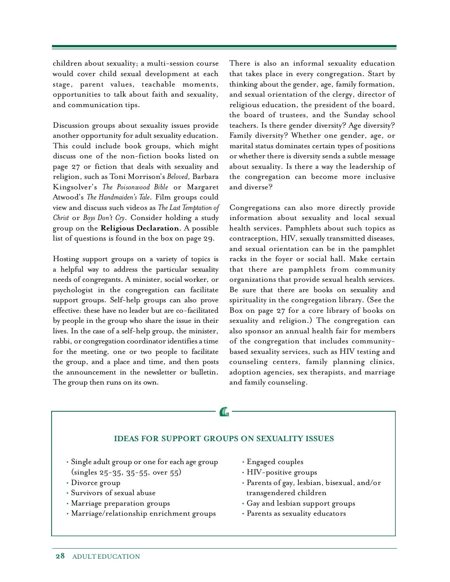children about sexuality; a multi-session course would cover child sexual development at each stage, parent values, teachable moments, opportunities to talk about faith and sexuality, and communication tips.

Discussion groups about sexuality issues provide another opportunity for adult sexuality education. This could include book groups, which might discuss one of the non-fiction books listed on page 27 or fiction that deals with sexuality and religion, such as Toni Morrison's *Beloved*, Barbara Kingsolver's *The Poisonwood Bible* or Margaret Atwood's *The Handmaiden's Tale*. Film groups could view and discuss such videos as *The Last Temptation of Christ* or *Boys Don't Cry*. Consider holding a study group on the **Religious Declaration**. A possible list of questions is found in the box on page 29.

Hosting support groups on a variety of topics is a helpful way to address the particular sexuality needs of congregants. A minister, social worker, or psychologist in the congregation can facilitate support groups. Self-help groups can also prove effective: these have no leader but are co-facilitated by people in the group who share the issue in their lives. In the case of a self-help group, the minister, rabbi, or congregation coordinator identifies a time for the meeting, one or two people to facilitate the group, and a place and time, and then posts the announcement in the newsletter or bulletin. The group then runs on its own.

There is also an informal sexuality education that takes place in every congregation. Start by thinking about the gender, age, family formation, and sexual orientation of the clergy, director of religious education, the president of the board, the board of trustees, and the Sunday school teachers. Is there gender diversity? Age diversity? Family diversity? Whether one gender, age, or marital status dominates certain types of positions or whether there is diversity sends a subtle message about sexuality. Is there a way the leadership of the congregation can become more inclusive and diverse?

Congregations can also more directly provide information about sexuality and local sexual health services. Pamphlets about such topics as contraception, HIV, sexually transmitted diseases, and sexual orientation can be in the pamphlet racks in the foyer or social hall. Make certain that there are pamphlets from community organizations that provide sexual health services. Be sure that there are books on sexuality and spirituality in the congregation library. (See the Box on page 27 for a core library of books on sexuality and religion.) The congregation can also sponsor an annual health fair for members of the congregation that includes communitybased sexuality services, such as HIV testing and counseling centers, family planning clinics, adoption agencies, sex therapists, and marriage and family counseling.

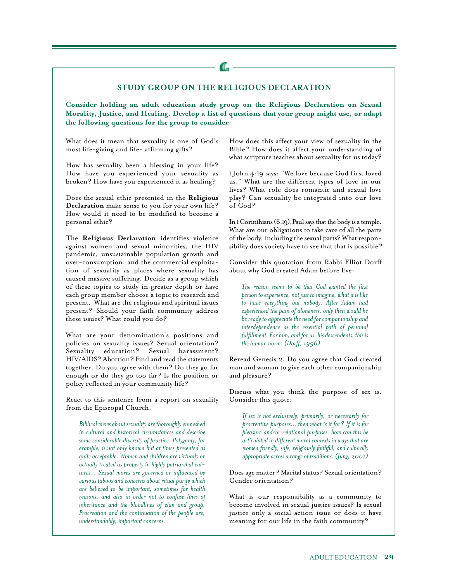### **STUDY GROUP ON THE RELIGIOUS DECLARATION**

а.

**Consider holding an adult education study group on the Religious Declaration on Sexual Morality, Justice, and Healing. Develop a list of questions that your group might use, or adapt the following questions for the group to consider:** 

What does it mean that sexuality is one of God's most life-giving and life- affirming gifts?

How has sexuality been a blessing in your life? How have you experienced your sexuality as broken? How have you experienced it as healing?

Does the sexual ethic presented in the **Religious Declaration** make sense to you for your own life? How would it need to be modified to become a personal ethic?

The **Religious Declaration** identifies violence against women and sexual minorities, the HIV pandemic, unsustainable population growth and over-consumption, and the commercial exploitation of sexuality as places where sexuality has caused massive suffering. Decide as a group which of these topics to study in greater depth or have each group member choose a topic to research and present. What are the religious and spiritual issues present? Should your faith community address these issues? What could you do?

What are your denomination's positions and policies on sexuality issues? Sexual orientation? Sexuality education? Sexual harassment? HIV/AIDS? Abortion? Find and read the statements together. Do you agree with them? Do they go far enough or do they go too far? Is the position or policy reflected in your community life?

React to this sentence from a report on sexuality from the Episcopal Church.

*Biblical views about sexuality are thoroughly enmeshed in cultural and historical circumstances and describe some considerable diversity of practice. Polygamy, for example, is not only known but at times presented as quite acceptable. Women and children are virtually or actually treated as property in highly patriarchal cultures… Sexual mores are governed or influenced by various taboos and concerns about ritual purity which are believed to be important, sometimes for health reasons, and also in order not to confuse lines of inheritance and the bloodlines of clan and group. Procreation and the continuation of the people are, understandably, important concerns.* 

How does this affect your view of sexuality in the Bible? How does it affect your understanding of what scripture teaches about sexuality for us today?

l John 4:l9 says: "We love because God first loved us." What are the different types of love in our lives? What role does romantic and sexual love play? Can sexuality be integrated into our love of God?

In 1 Corinthians (6:19), Paul says that the body is a temple. What are our obligations to take care of all the parts of the body, including the sexual parts? What responsibility does society have to see that that is possible?

Consider this quotation from Rabbi Elliot Dorff about why God created Adam before Eve:

*The reason seems to be that God wanted the first person to experience, not just to imagine, what it is like to have everything but nobody. After Adam had experienced the pain of aloneness, only then would he be ready to appreciate the need for companionship and interdependence as the essential path of personal fulfillment. For him, and for us, his descendents, this is the human norm. (Dorff, 1996)*

Reread Genesis 2. Do you agree that God created man and woman to give each other companionship and pleasure?

Discuss what you think the purpose of sex is. Consider this quote:

*If sex is not exclusively, primarily, or necessarily for procreative purposes… then what is it for? If it is for pleasure and/or relational purposes, how can this be articulated in different moral contexts in ways that are women friendly, safe, religiously faithful, and culturally appropriate across a range of traditions. (Jung, 2001)*

Does age matter? Marital status? Sexual orientation? Gender orientation?

What is our responsibility as a community to become involved in sexual justice issues? Is sexual justice only a social action issue or does it have meaning for our life in the faith community?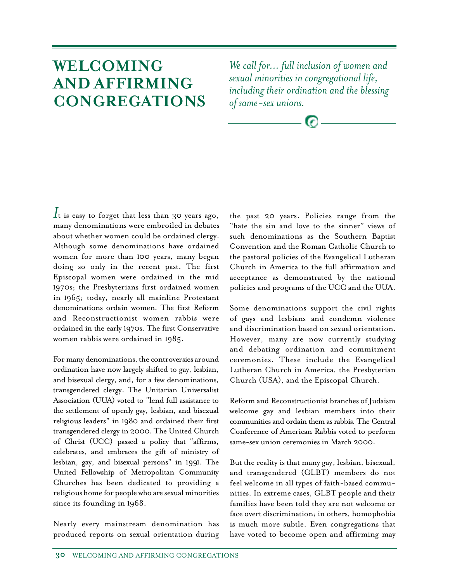# **WELCOMING AND AFFIRMING CONGREGATIONS**

*We call for… full inclusion of women and sexual minorities in congregational life, including their ordination and the blessing of same-sex unions.* 

 $\odot$ 

*I*t is easy to forget that less than 30 years ago, many denominations were embroiled in debates about whether women could be ordained clergy. Although some denominations have ordained women for more than l00 years, many began doing so only in the recent past. The first Episcopal women were ordained in the mid l970s; the Presbyterians first ordained women in l965; today, nearly all mainline Protestant denominations ordain women. The first Reform and Reconstructionist women rabbis were o rdained in the early l970s. The first Conservative women rabbis were ordained in l985.

For many denominations, the controversies around o rdination have now largely shifted to gay, lesbian, and bisexual clergy, and, for a few denominations, transgendered clergy. The Unitarian Universalist Association (UUA) voted to "lend full assistance to the settlement of openly gay, lesbian, and bisexual religious leaders" in l980 and ordained their first transgendered clergy in 2000. The United Church of Christ (UCC) passed a policy that "affirms, celebrates, and embraces the gift of ministry of lesbian, gay, and bisexual persons" in 1991. The United Fellowship of Metropolitan Community Churches has been dedicated to providing a religious home for people who are sexual minorities since its founding in l968.

Nearly every mainstream denomination has produced reports on sexual orientation during the past 20 years. Policies range from the "hate the sin and love to the sinner" views of such denominations as the Southern Baptist Convention and the Roman Catholic Church to the pastoral policies of the Evangelical Lutheran Church in America to the full affirmation and acceptance as demonstrated by the national policies and programs of the UCC and the UUA.

Some denominations support the civil rights of gays and lesbians and condemn violence and discrimination based on sexual orientation. However, many are now currently studying and debating ordination and commitment ceremonies. These include the Evangelical Lutheran Church in America, the Presbyterian Church (USA), and the Episcopal Church.

Reform and Reconstructionist branches of Judaism welcome gay and lesbian members into their communities and ordain them as rabbis. The Central Conference of American Rabbis voted to perform same-sex union ceremonies in March 2000.

But the reality is that many gay, lesbian, bisexual, and transgendered (GLBT) members do not feel welcome in all types of faith-based communities. In extreme cases, GLBT people and their families have been told they are not welcome or face overt discrimination; in others, homophobia is much more subtle. Even congregations that have voted to become open and affirming may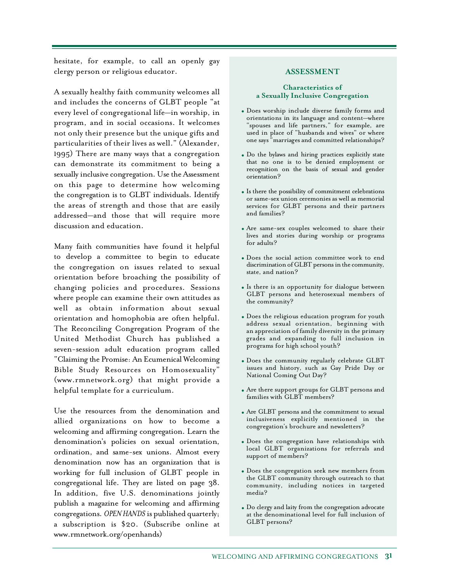hesitate, for example, to call an openly gay clergy person or religious educator.

A sexually healthy faith community welcomes all and includes the concerns of GLBT people "at every level of congregational life—in worship, in program, and in social occasions. It welcomes not only their presence but the unique gifts and particularities of their lives as well." (Alexander, l995) There are many ways that a congregation can demonstrate its commitment to being a sexually inclusive congregation. Use the Assessment on this page to determine how welcoming the congregation is to GLBT individuals. Identify the areas of strength and those that are easily addressed—and those that will require more discussion and education.

Many faith communities have found it helpful to develop a committee to begin to educate the congregation on issues related to sexual orientation before broaching the possibility of changing policies and procedures. Sessions where people can examine their own attitudes as well as obtain information about sexual orientation and homophobia are often helpful. The Reconciling Congregation Program of the United Methodist Church has published a seven-session adult education program called "Claiming the Promise: An Ecumenical Welcoming Bible Study Resources on Homosexuality" (www.rmnetwork.org) that might provide a helpful template for a curriculum.

Use the resources from the denomination and allied organizations on how to become a welcoming and affirming congregation. Learn the denomination's policies on sexual orientation, ordination, and same-sex unions. Almost every denomination now has an organization that is working for full inclusion of GLBT people in congregational life. They are listed on page 38. In addition, five U.S. denominations jointly publish a magazine for welcoming and affirming congregations. OPEN HANDS is published quarterly; a subscription is \$20. (Subscribe online at www.rmnetwork.org/openhands)

### **ASSESSMENT**

### **Characteristics of a Sexually Inclusive Congregation**

- Does worship include diverse family forms and orientations in its language and content—where "spouses and life partners," for example, are used in place of "husbands and wives" or where one says "marriages and committed relationships?
- Do the bylaws and hiring practices explicitly state that no one is to be denied employment or recognition on the basis of sexual and gender orientation?
- $\bullet$  Is there the possibility of commitment celebrations or same-sex union ceremonies as well as memorial services for GLBT persons and their partners and families?
- Are same-sex couples welcomed to share their lives and stories during worship or programs for adults?
- Does the social action committee work to end discrimination of GLBT persons in the community, state, and nation?
- Is there is an opportunity for dialogue between GLBT persons and heterosexual members of the community?
- Does the religious education program for youth address sexual orientation, beginning with an appreciation of family diversity in the primary g rades and expanding to full inclusion in programs for high school youth?
- Does the community regularly celebrate GLBT issues and history, such as Gay Pride Day or National Coming Out Day?
- Are there support groups for GLBT persons and families with GLBT members?
- Are GLBT persons and the commitment to sexual inclusiveness explicitly mentioned in the congregation's brochure and newsletters?
- Does the congregation have relationships with local GLBT organizations for referrals and support of members?
- Does the congregation seek new members from the GLBT community through outreach to that community, including notices in targeted media?
- Do clergy and laity from the congregation advocate at the denominational level for full inclusion of GLBT persons?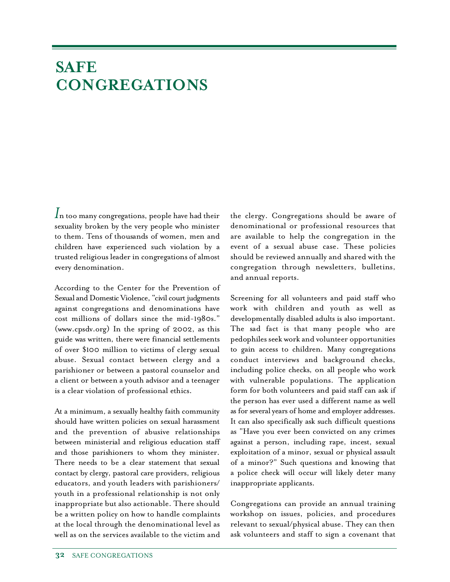# **SAFE CONGREGATIONS**

*I*n too many congregations, people have had their sexuality broken by the very people who minister to them. Tens of thousands of women, men and children have experienced such violation by a trusted religious leader in congregations of almost every denomination.

According to the Center for the Prevention of Sexual and Domestic Violence, "civil court judgments against congregations and denominations have cost millions of dollars since the mid-1980s." (www.cpsdv.org) In the spring of 2002, as this guide was written, there were financial settlements of over \$l00 million to victims of clergy sexual abuse. Sexual contact between clergy and a parishioner or between a pastoral counselor and a client or between a youth advisor and a teenager is a clear violation of professional ethics.

At a minimum, a sexually healthy faith community should have written policies on sexual harassment and the prevention of abusive relationships between ministerial and religious education staff and those parishioners to whom they minister. There needs to be a clear statement that sexual contact by clergy, pastoral care providers, religious educators, and youth leaders with parishioners/ youth in a professional relationship is not only inappropriate but also actionable. There should be a written policy on how to handle complaints at the local through the denominational level as well as on the services available to the victim and

the clergy. Congregations should be aware of denominational or professional resources that are available to help the congregation in the event of a sexual abuse case. These policies should be reviewed annually and shared with the congregation through newsletters, bulletins, and annual reports.

Screening for all volunteers and paid staff who work with children and youth as well as developmentally disabled adults is also important. The sad fact is that many people who are pedophiles seek work and volunteer opportunities to gain access to children. Many congregations conduct interviews and background checks, including police checks, on all people who work with vulnerable populations. The application form for both volunteers and paid staff can ask if the person has ever used a different name as well as for several years of home and employer addresses. It can also specifically ask such difficult questions as "Have you ever been convicted on any crimes against a person, including rape, incest, sexual exploitation of a minor, sexual or physical assault of a minor?" Such questions and knowing that a police check will occur will likely deter many inappropriate applicants.

Congregations can provide an annual training workshop on issues, policies, and procedures relevant to sexual/physical abuse. They can then ask volunteers and staff to sign a covenant that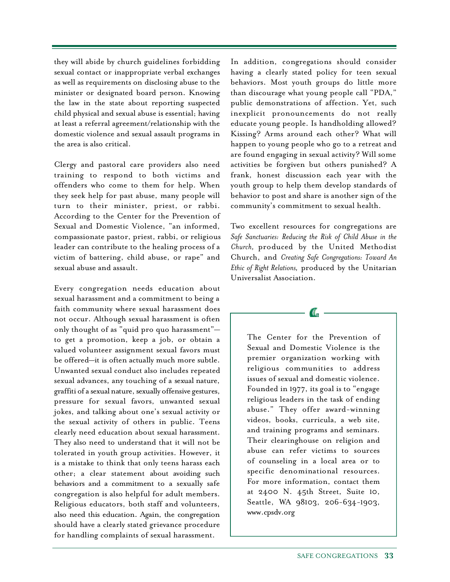they will abide by church guidelines forbidding sexual contact or inappropriate verbal exchanges as well as requirements on disclosing abuse to the minister or designated board person. Knowing the law in the state about reporting suspected child physical and sexual abuse is essential; having at least a referral agreement/relationship with the domestic violence and sexual assault programs in the area is also critical.

Clergy and pastoral care providers also need training to respond to both victims and offenders who come to them for help. When they seek help for past abuse, many people will turn to their minister, priest, or rabbi. According to the Center for the Prevention of Sexual and Domestic Violence, "an informed, compassionate pastor, priest, rabbi, or religious leader can contribute to the healing process of a victim of battering, child abuse, or rape" and sexual abuse and assault.

Every congregation needs education about sexual harassment and a commitment to being a faith community where sexual harassment does not occur. Although sexual harassment is often only thought of as "quid pro quo harassment" to get a promotion, keep a job, or obtain a valued volunteer assignment sexual favors must be offered—it is often actually much more subtle. Unwanted sexual conduct also includes repeated sexual advances, any touching of a sexual nature, graffiti of a sexual nature, sexually offensive gestures, pressure for sexual favors, unwanted sexual jokes, and talking about one's sexual activity or the sexual activity of others in public. Teens clearly need education about sexual harassment. They also need to understand that it will not be tolerated in youth group activities. However, it is a mistake to think that only teens harass each other; a clear statement about avoiding such behaviors and a commitment to a sexually safe congregation is also helpful for adult members. Religious educators, both staff and volunteers, also need this education. Again, the congregation should have a clearly stated grievance procedure for handling complaints of sexual harassment.

In addition, congregations should consider having a clearly stated policy for teen sexual behaviors. Most youth groups do little more than discourage what young people call "PDA," public demonstrations of affection. Yet, such inexplicit pronouncements do not really educate young people. Is handholding allowed? Kissing? Arms around each other? What will happen to young people who go to a retreat and are found engaging in sexual activity? Will some activities be forgiven but others punished? A frank, honest discussion each year with the youth group to help them develop standards of behavior to post and share is another sign of the community's commitment to sexual health.

Two excellent resources for congregations are *Safe Sanctuaries: Reducing the Risk of Child Abuse in the Church,* produced by the United Methodist Church, and *Creating Safe Congregations: Toward An Ethic of Right Relations,* produced by the Unitarian Universalist Association.

Œ.

The Center for the Prevention of Sexual and Domestic Violence is the p remier organization working with religious communities to address issues of sexual and domestic violence. Founded in l977, its goal is to "engage religious leaders in the task of ending abuse." They offer award-winning videos, books, curricula, a web site, and training programs and seminars. Their clearinghouse on religion and abuse can refer victims to sources of counseling in a local area or to specific denominational resources. For more information, contact them at 2400 N. 45th Street, Suite l0, Seattle, WA 98103, 206-634-1903, www.cpsdv.org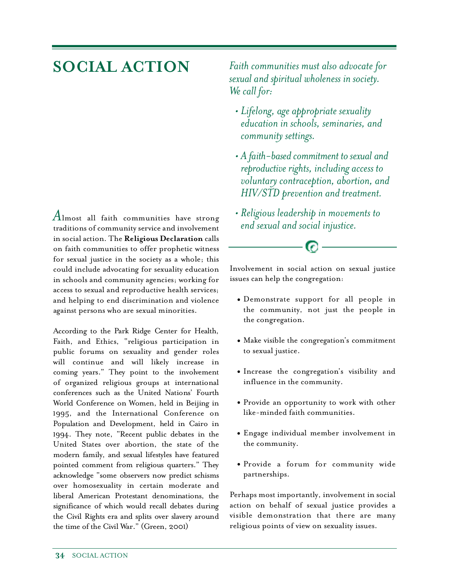# **SOCIAL ACTION**

*A*lmost all faith communities have strong t raditions of community service and involvement in social action. The Religious Declaration calls on faith communities to offer prophetic witness for sexual justice in the society as a whole; this could include advocating for sexuality education in schools and community agencies; working for access to sexual and reproductive health services; and helping to end discrimination and violence against persons who are sexual minorities.

According to the Park Ridge Center for Health, Faith, and Ethics, "religious participation in public forums on sexuality and gender roles will continue and will likely increase in coming years." They point to the involvement of organized religious groups at international conferences such as the United Nations' Fourth World Conference on Women, held in Beijing in l995, and the International Conference on Population and Development, held in Cairo in l994. They note, "Recent public debates in the United States over abortion, the state of the modern family, and sexual lifestyles have featured pointed comment from religious quarters." They acknowledge "some observers now predict schisms over homosexuality in certain moderate and liberal American Protestant denominations, the significance of which would recall debates during the Civil Rights era and splits over slavery around the time of the Civil War." (Green, 200l)

*Faith communities must also advocate for sexual and spiritual wholeness in society. We call for:*

- *• Lifelong, age appropriate sexuality education in schools, seminaries, and community settings.*
- *A faith-based commitment to sexual and r e p r o d u c t i v e rights, including access to voluntary contraception, abortion, and HIV/STD prevention and treatment.*
- *• Religious leadership in movements to end sexual and social injustice.*

Involvement in social action on sexual justice issues can help the congregation:

 $-\epsilon$ 

- Demonstrate support for all people in the community, not just the people in the congregation.
- Make visible the congregation's commitment to sexual justice.
- · Increase the congregation's visibility and influence in the community.
- Provide an opportunity to work with other like-minded faith communities.
- Engage individual member involvement in the community.
- Provide a forum for community wide partnerships.

Perhaps most importantly, involvement in social action on behalf of sexual justice provides a visible demonstration that there are many religious points of view on sexuality issues.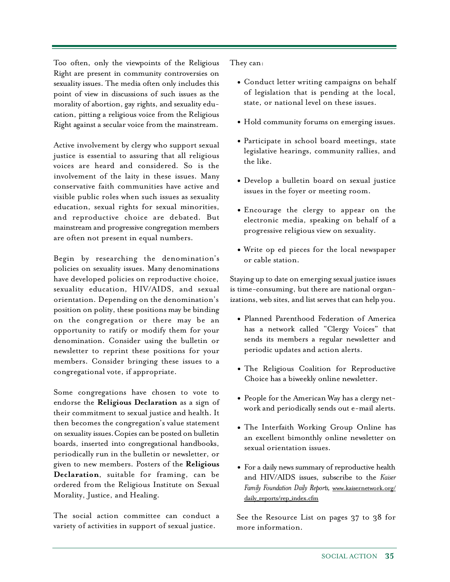Too often, only the viewpoints of the Religious Right are present in community controversies on sexuality issues. The media often only includes this point of view in discussions of such issues as the morality of abortion, gay rights, and sexuality education, pitting a religious voice from the Religious Right against a secular voice from the mainstream.

Active involvement by clergy who support sexual justice is essential to assuring that all religious voices are heard and considered. So is the involvement of the laity in these issues. Many conservative faith communities have active and visible public roles when such issues as sexuality education, sexual rights for sexual minorities, and reproductive choice are debated. But mainstream and progressive congregation members are often not present in equal numbers.

Begin by researching the denomination's policies on sexuality issues. Many denominations have developed policies on reproductive choice, sexuality education, HIV/AIDS, and sexual orientation. Depending on the denomination's position on polity, these positions may be binding on the congregation or there may be an opportunity to ratify or modify them for your denomination. Consider using the bulletin or newsletter to reprint these positions for your members. Consider bringing these issues to a congregational vote, if appropriate.

Some congregations have chosen to vote to endorse the **Religious Declaration** as a sign of their commitment to sexual justice and health. It then becomes the congregation's value statement on sexuality issues.Copies can be posted on bulletin boards, inserted into congregational handbooks, periodically run in the bulletin or newsletter, or given to new members. Posters of the Religious Declaration, suitable for framing, can be ordered from the Religious Institute on Sexual Morality, Justice, and Healing.

The social action committee can conduct a variety of activities in support of sexual justice.

They can:

- Conduct letter writing campaigns on behalf of legislation that is pending at the local, state, or national level on these issues.
- Hold community forums on emerging issues.
- Participate in school board meetings, state legislative hearings, community rallies, and the like.
- Develop a bulletin board on sexual justice issues in the foyer or meeting room.
- · Encourage the clergy to appear on the electronic media, speaking on behalf of a progressive religious view on sexuality.
- Write op ed pieces for the local newspaper or cable station.

Staying up to date on emerging sexual justice issues is time-consuming, but there are national organizations, web sites, and list serves that can help you.

- Planned Parenthood Federation of America has a network called "Clergy Voices" that sends its members a regular newsletter and periodic updates and action alerts.
- The Religious Coalition for Reproductive Choice has a biweekly online newsletter.
- People for the American Way has a clergy network and periodically sends out e-mail alerts.
- The Interfaith Working Group Online has an excellent bimonthly online newsletter on sexual orientation issues.
- For a daily news summary of reproductive health and HIV/AIDS issues, subscribe to the *Kaiser Family Foundation Daily Reports,* www.kaisernetwork.org/ daily\_reports/rep\_index.cfm

See the Resource List on pages 37 to 38 for more information.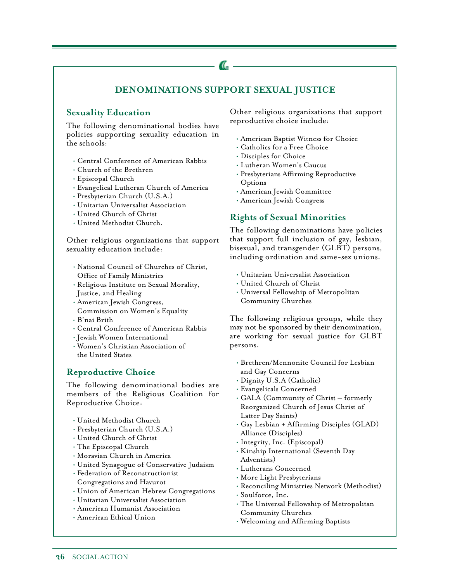# **DENOMINATIONS SUPPORT SEXUAL JUSTICE**

a.

# **Sexuality Education**

The following denominational bodies have policies supporting sexuality education in the schools:

- Central Conference of American Rabbis
- Church of the Brethren
- Episcopal Church
- Evangelical Lutheran Church of America
- Presbyterian Church (U.S.A.)
- Unitarian Universalist Association
- United Church of Christ
- United Methodist Church.

Other religious organizations that support sexuality education include:

- National Council of Churches of Christ, Office of Family Ministries
- Religious Institute on Sexual Morality, Justice, and Healing
- American Jewish Congress, Commission on Women's Equality
- B'nai Brith
- Central Conference of American Rabbis
- Jewish Women International
- Women's Christian Association of the United States

# **Reproductive Choice**

The following denominational bodies are members of the Religious Coalition for Reproductive Choice:

- United Methodist Church
- Presbyterian Church (U.S.A.)
- United Church of Christ
- The Episcopal Church
- Moravian Church in America
- United Synagogue of Conservative Judaism
- Federation of Reconstructionist Congregations and Havurot
- Union of American Hebrew Congregations
- Unitarian Universalist Association
- American Humanist Association
- American Ethical Union

Other religious organizations that support reproductive choice include:

- American Baptist Witness for Choice
- Catholics for a Free Choice
- Disciples for Choice
- Lutheran Women's Caucus
- Presbyterians Affirming Reproductive Options
- American Jewish Committee
- American Jewish Congress

# **Rights of Sexual Minorities**

The following denominations have policies that support full inclusion of gay, lesbian, bisexual, and transgender (GLBT) persons, including ordination and same-sex unions.

- Unitarian Universalist Association
- United Church of Christ
- Universal Fellowship of Metropolitan Community Churches

The following religious groups, while they may not be sponsored by their denomination, are working for sexual justice for GLBT persons.

- Brethren/Mennonite Council for Lesbian and Gay Concerns
- Dignity U.S.A (Catholic)
- Evangelicals Concerned
- GALA (Community of Christ formerly Reorganized Church of Jesus Christ of Latter Day Saints)
- Gay Lesbian + Affirming Disciples (GLAD) Alliance (Disciples)
- Integrity, Inc. (Episcopal)
- Kinship International (Seventh Day Adventists)
- Lutherans Concerned
- More Light Presbyterians
- Reconciling Ministries Network (Methodist)
- Soulforce, Inc.
- The Universal Fellowship of Metropolitan Community Churches
- Welcoming and Affirming Baptists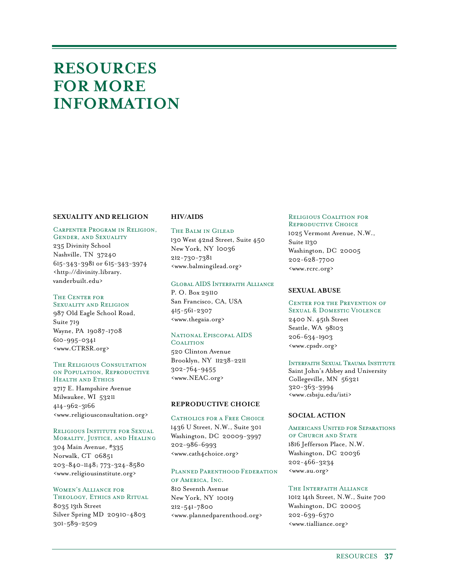# **RESOURCES FOR MORE INFORMATION**

### **SEXUALITY AND RELIGION**

### Carpenter Program in Religion, Gender, and Sexuality 235 Divinity School Nashville, TN 37240 6l5-343-398l or 6l5-343-3974

<http://divinity.library. vanderbuilt.edu>

### The Center for Sexuality and Religion

987 Old Eagle School Road, Suite 7l9 Wayne, PA l9087-l708 6l0-995-034l <www.CTRSR.org>

### THE RELIGIOUS CONSULTATION on Population, Reproductive Health and Ethics

27l7 E. Hampshire Avenue Milwaukee, WI 532ll 4l4-962-3l66 <www.religiousconsultation.org>

### Religious Institute for Sexual MORALITY, JUSTICE, AND HEALING

304 Main Avenue, #335 Norwalk, CT 0685l 203-840-ll48; 773-324-8580 <www.religiousinstitute.org>

### Women's Alliance for

THEOLOGY, ETHICS AND RITUAL 8035 l3th Street Silver Spring MD 209l0-4803 30l-589-2509

### **HIV/AIDS**

### The Balm in Gilead

l30 West 42nd Street, Suite 450 New York, NY l0036 2l2-730-738l <www.balmingilead.org>

### Global AIDS Interfaith Alliance

P. O. Box 29ll0 San Francisco, CA, USA 4l5-56l-2307 <www.thegaia.org>

# National Episcopal AIDS

### **COALITION**

520 Clinton Avenue Brooklyn, NY ll238-22ll 302-764-9455 <www.NEAC.org>

### **REPRODUCTIVE CHOICE**

### CATHOLICS FOR A FREE CHOICE

l436 U Street, N.W., Suite 30l Washington, DC 20009-3997 202-986-6993 <www.cath4choice.org>

# PLANNED PARENTHOOD FEDERATION

of America, Inc. 8l0 Seventh Avenue New York, NY l00l9 2l2-54l-7800 <www.plannedparenthood.org>

#### Religious Coalition for REPRODUCTIVE CHOICE

l025 Vermont Avenue, N.W., Suite ll30 Washington, DC 20005 202-628-7700 <www.rcrc.org>

### **SEXUAL ABUSE**

#### Center for the Prevention of Sexual & Domestic Violence

2400 N. 45th Street Seattle, WA 98103 206-634-l903 <www.cpsdv.org>

### INTERFAITH SEXUAL TRAUMA INSTITUTE

Saint John's Abbey and University Collegeville, MN 5632l 320-363-3994 <www.csbsju.edu/isti>

### **SOCIAL ACTION**

### AMERICANS UNITED FOR SEPARATIONS of Church and State l8l6 Jefferson Place, N.W. Washington, DC 20036 202-466-3234 <www.au.org>

### The Interfaith Alliance

l0l2 l4th Street, N.W., Suite 700 Washington, DC 20005 202-639-6370 <www.tialliance.org>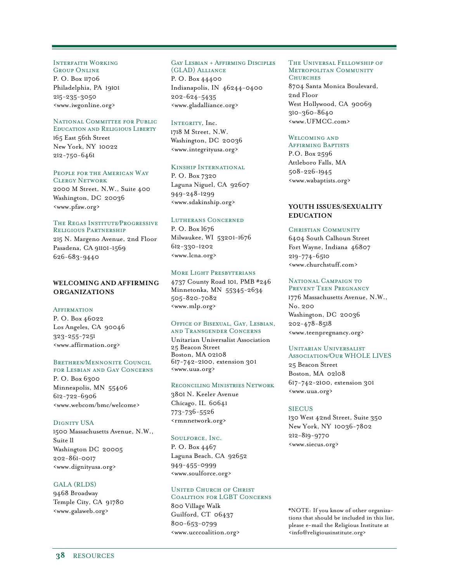### Interfaith Working

**GROUP ONLINE** P. O. Box ll706 Philadelphia, PA l9l0l 2l5-235-3050 <www.iwgonline.org>

### NATIONAL COMMITTEE FOR PUBLIC

EDUCATION AND RELIGIOUS LIBERTY l65 East 56th Street New York, NY l0022 2l2-750-646l

#### People for the American Way Clergy Network

2000 M Street, N.W., Suite 400 Washington, DC 20036 <www.pfaw.org>

### The Regas Institute/Progressive Religious Partnership

2l5 N. Margeno Avenue, 2nd Floor Pasadena, CA 91101-1569 626-683-9440

### **WELCOMING AND AFFIRMING ORGANIZATIONS**

### **AFFIRMATION**

P. O. Box 46022 Los Angeles, CA 90046 323-255-725l <www.affirmation.org>

### BRETHREN/MENNONITE COUNCIL for Lesbian and Gay Concerns

P. O. Box 6300 Minneapolis, MN 55406 6l2-722-6906 <www.webcom/bmc/welcome>

### DIGNITY USA

l500 Massachusetts Avenue, N.W., Suite ll Washington DC 20005 202-86l-00l7 <www.dignityusa.org>

### GALA (RLDS)

9468 Broadway Temple City, CA 9l780 <www.galaweb.org>

### GAY LESBIAN + AFFIRMING DISCIPLES

(GLAD) Alliance P. O. Box 44400 Indianapolis, IN 46244-0400 202-624-5435 <www.gladalliance.org>

### INTEGRITY, Inc.

l7l8 M Street, N.W. Washington, DC 20036 <www.integrityusa.org>

### Kinship International

P. O. Box 7320 Laguna Niguel, CA 92607 949-248-l299 <www.sdakinship.org>

### Lutherans Concerned

P. O. Box l676 Milwaukee, WI 5320l-l676 6l2-330-l202 <www.lcna.org>

### More Light Presbyterians

4737 County Road l0l, PMB #246 Minnetonka, MN 55345-2634 505-820-7082 <www.mlp.org>

#### Office of Bisexual, Gay, Lesbian, and Transgender Concerns

Unitarian Universalist Association 25 Beacon Street Boston, MA 02l08 6l7-742-2l00, extension 30l <www.uua.org>

### RECONCILING MINISTRIES NETWORK

380l N. Keeler Avenue Chicago, IL 6064l 773-736-5526 <rmnnetwork.org>

### Soulforce, Inc.

P. O. Box 4467 Laguna Beach, CA 92652 949-455-0999 <www.soulforce.org>

### United Church of Christ

Coalition for LGBT Concerns 800 Village Walk Guilford, CT 06437 800-653-0799 <www.ucccoalition.org>

#### The Universal Fellowship of Metropolitan Community **CHURCHES**

8704 Santa Monica Boulevard, 2nd Floor West Hollywood, CA 90069 3l0-360-8640 <www.UFMCC.com>

### Welcoming and

Affirming Baptists P.O. Box 2596 Attleboro Falls, MA 508-226-l945 <www.wabaptists.org>

### **YOUTH ISSUES/SEXUALITY EDUCATION**

### CHRISTIAN COMMUNITY

6404 South Calhoun Street Fort Wayne, Indiana 46807 2l9-774-65l0 <www.churchstuff.com>

### NATIONAL CAMPAIGN TO

Prevent Teen Pregnancy l776 Massachusetts Avenue, N.W., No. 200 Washington, DC 20036 202-478-85l8 <www.teenpregnancy.org>

#### Unitarian Universalist Association/Our WHOLE LIVES

25 Beacon Street Boston, MA 02l08 6l7-742-2l00, extension 30l <www.uua.org>

### **SIECUS**

l30 West 42nd Street, Suite 350 New York, NY l0036-7802 2l2-8l9-9770 <www.siecus.org>

\*NOTE: If you know of other organizations that should be included in this list, please e-mail the Religious Institute at <info@religiousinstitute.org>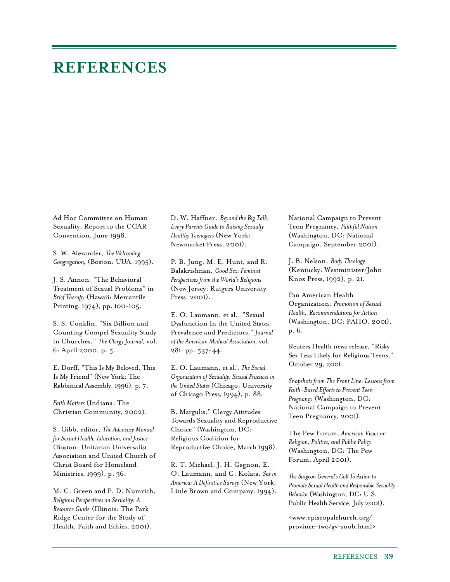# **REFERENCES**

Ad Hoc Committee on Human Sexuality, Report to the CCAR Convention, June l998.

S. W. Alexander, *The Welcoming Congregation*, (Boston: UUA, 1995).

J. S. Annon, "The Behavioral Treatment of Sexual Problems" in *Brief Therapy* (Hawaii: Mercantile Printing, 1974), pp. 100-105.

S. S. Conklin, "Six Billion and Counting Compel Sexuality Study in Churches," *The Clergy Journal,* vol. 6: April 2000, p. 5.

E. Dorff, "This Is My Beloved, This Is My Friend" (New York: The Rabbinical Assembly, l996), p. 7.

*Faith Matters* (Indiana: The Christian Community, 2002).

S. Gibb, editor, *The Advocacy Manual for Sexual Health, Education, and Justice* (Boston: Unitarian Universalist Association and United Church of Christ Board for Homeland Ministries, l999), p. 36.

M. C. Green and P. D. Numrich, *Religious Perspectives on Sexuality: A Resource Guide* (Illinois: The Park Ridge Center for the Study of Health, Faith and Ethics, 200l).

D. W. Haffner, *Beyond the Big Talk: Every Parents Guide to Raising Sexually Healthy Teenagers* (New York: Newmarket Press, 200l).

P. B. Jung, M. E. Hunt, and R. Balakrishnan, *Good Sex: Feminist Perspectives from the World's Religions* (New Jersey: Rutgers University Press, 200l).

E. O. Laumann, et al., "Sexual Dysfunction In the United States: Prevalence and Predictors," *Journal*  $of$  the American Medical Association, vol. 2 8l: pp. 537-44.

E. O. Laumann, et al., *The Social Organization of Sexuality: Sexual Practices in the United States* (Chicago: University of Chicago Press, l994), p. 88.

B. Margulis," Clergy Attitudes Towards Sexuality and Reproductive Choice" (Washington, DC: Religious Coalition for Reproductive Choice, March 1998).

R. T. Michael, J. H. Gagnon, E. O. Laumann, and G. Kolata, *Sex in America: A Definitive Survey* (New York: Little Brown and Company, 1994).

National Campaign to Prevent Teen Pregnancy, *Faithful Nation* (Washington, DC: National Campaign, September 200l).

J. B. Nelson, *Body Theology* (Kentucky: Westminister/John Knox Press, l992), p. 2l.

Pan American Health Organization, *Promotion of Sexual Health. Recommendations for Action* (Washington, DC: PAHO, 200l), p. 6.

Reuters Health news release, "Risky Sex Less Likely for Religious Teens," October 29, 200l.

*Snapshots from The Front Line: Lessons from Faith-Based Efforts to Prevent Teen Pregnancy* (Washington, DC: National Campaign to Prevent Teen Pregnancy, 200l).

The Pew Forum. *American Views on Religion, Politics, and Public Policy* (Washington, DC: The Pew Forum, April 200l).

*The Surgeon General's Call To Action to Promote Sexual Health and Responsible Sexuality Behavior* ( Washington, DC: U.S. Public Health Service, July 2001).

<www.episcopalchurch.org/ province-two/gv-soob.html>